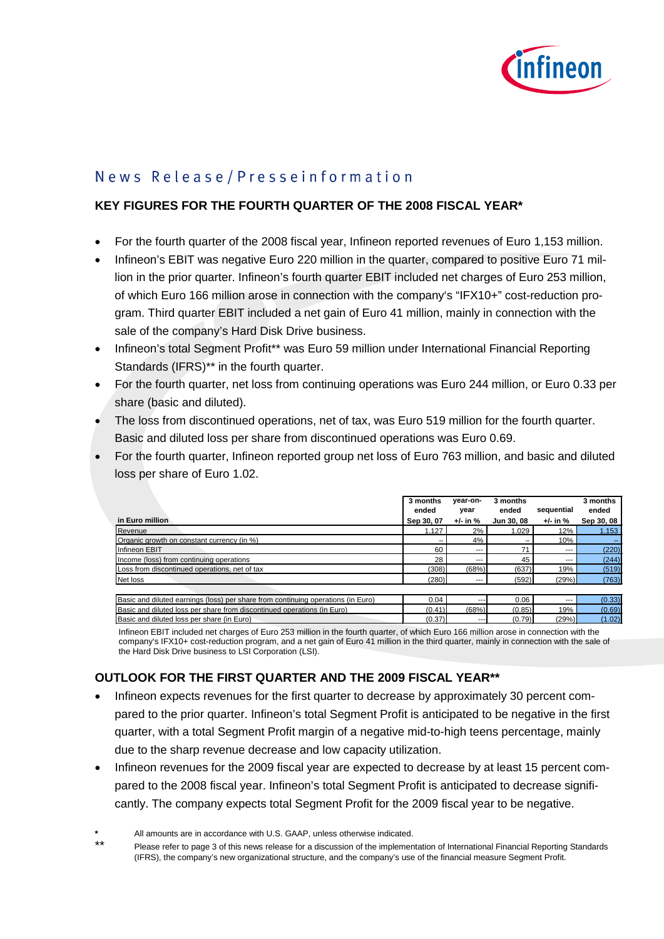

# News Release/Presseinformation

#### **KEY FIGURES FOR THE FOURTH QUARTER OF THE 2008 FISCAL YEAR\***

- For the fourth quarter of the 2008 fiscal year, Infineon reported revenues of Euro 1,153 million.
- Infineon's EBIT was negative Euro 220 million in the quarter, compared to positive Euro 71 million in the prior quarter. Infineon's fourth quarter EBIT included net charges of Euro 253 million, of which Euro 166 million arose in connection with the company's "IFX10+" cost-reduction program. Third quarter EBIT included a net gain of Euro 41 million, mainly in connection with the sale of the company's Hard Disk Drive business.
- Infineon's total Segment Profit\*\* was Euro 59 million under International Financial Reporting Standards (IFRS)\*\* in the fourth quarter.
- For the fourth quarter, net loss from continuing operations was Euro 244 million, or Euro 0.33 per share (basic and diluted).
- The loss from discontinued operations, net of tax, was Euro 519 million for the fourth quarter. Basic and diluted loss per share from discontinued operations was Euro 0.69.
- For the fourth quarter, Infineon reported group net loss of Euro 763 million, and basic and diluted loss per share of Euro 1.02.

| in Euro million                               | 3 months<br>ended<br>Sep 30, 07 | year-on-<br>year<br>+/- in % | 3 months<br>ended<br>Jun 30, 08 | sequential<br>$+/-$ in % | 3 months<br>ended<br>Sep 30, 08 |
|-----------------------------------------------|---------------------------------|------------------------------|---------------------------------|--------------------------|---------------------------------|
| Revenue                                       | 1.127                           | 2%                           | 1.029                           | 12%                      | 1,153                           |
| Organic growth on constant currency (in %)    |                                 | 4%                           |                                 | 10%                      |                                 |
| Infineon EBIT                                 | 60                              | $- - -$                      | 71                              | $\overline{\phantom{a}}$ | (220)                           |
| Income (loss) from continuing operations      | 28                              | $- - -$                      | 45                              | $- - -$                  | (244)                           |
| Loss from discontinued operations, net of tax | (308)                           | (68%)                        | (637)                           | 19%                      | (519)                           |
| Net loss                                      | (280)                           | $- - -$                      | (592)                           | (29%)                    | (763)                           |

| Basic and diluted earnings (loss) per share from continuing operations (in Euro) | 0.04   | $- - -$ | 0.06   | ---   | (0.33) |
|----------------------------------------------------------------------------------|--------|---------|--------|-------|--------|
| Basic and diluted loss per share from discontinued operations (in Euro)          | (0.41) | (68%)   | (0.85) | 19%   | (0.69) |
| Basic and diluted loss per share (in Euro)                                       | (0.37) | ---     | (0.79) | (29%) | (1.02) |
|                                                                                  |        |         |        |       |        |

Infineon EBIT included net charges of Euro 253 million in the fourth quarter, of which Euro 166 million arose in connection with the company's IFX10+ cost-reduction program, and a net gain of Euro 41 million in the third quarter, mainly in connection with the sale of the Hard Disk Drive business to LSI Corporation (LSI).

# **OUTLOOK FOR THE FIRST QUARTER AND THE 2009 FISCAL YEAR\*\***

- Infineon expects revenues for the first quarter to decrease by approximately 30 percent compared to the prior quarter. Infineon's total Segment Profit is anticipated to be negative in the first quarter, with a total Segment Profit margin of a negative mid-to-high teens percentage, mainly due to the sharp revenue decrease and low capacity utilization.
- Infineon revenues for the 2009 fiscal year are expected to decrease by at least 15 percent compared to the 2008 fiscal year. Infineon's total Segment Profit is anticipated to decrease significantly. The company expects total Segment Profit for the 2009 fiscal year to be negative.

\*\* Please refer to page 3 of this news release for a discussion of the implementation of International Financial Reporting Standards (IFRS), the company's new organizational structure, and the company's use of the financial measure Segment Profit.

**<sup>\*</sup>** All amounts are in accordance with U.S. GAAP, unless otherwise indicated.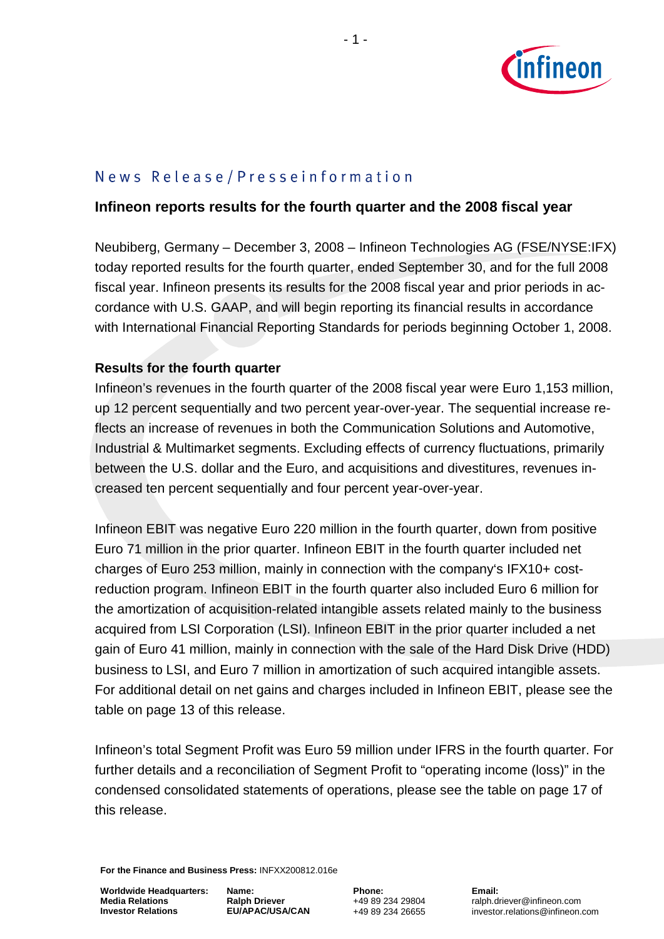

# News Release/Presseinformation

## **Infineon reports results for the fourth quarter and the 2008 fiscal year**

Neubiberg, Germany – December 3, 2008 – Infineon Technologies AG (FSE/NYSE:IFX) today reported results for the fourth quarter, ended September 30, and for the full 2008 fiscal year. Infineon presents its results for the 2008 fiscal year and prior periods in accordance with U.S. GAAP, and will begin reporting its financial results in accordance with International Financial Reporting Standards for periods beginning October 1, 2008.

#### **Results for the fourth quarter**

Infineon's revenues in the fourth quarter of the 2008 fiscal year were Euro 1,153 million, up 12 percent sequentially and two percent year-over-year. The sequential increase reflects an increase of revenues in both the Communication Solutions and Automotive, Industrial & Multimarket segments. Excluding effects of currency fluctuations, primarily between the U.S. dollar and the Euro, and acquisitions and divestitures, revenues increased ten percent sequentially and four percent year-over-year.

Infineon EBIT was negative Euro 220 million in the fourth quarter, down from positive Euro 71 million in the prior quarter. Infineon EBIT in the fourth quarter included net charges of Euro 253 million, mainly in connection with the company's IFX10+ costreduction program. Infineon EBIT in the fourth quarter also included Euro 6 million for the amortization of acquisition-related intangible assets related mainly to the business acquired from LSI Corporation (LSI). Infineon EBIT in the prior quarter included a net gain of Euro 41 million, mainly in connection with the sale of the Hard Disk Drive (HDD) business to LSI, and Euro 7 million in amortization of such acquired intangible assets. For additional detail on net gains and charges included in Infineon EBIT, please see the table on page 13 of this release.

Infineon's total Segment Profit was Euro 59 million under IFRS in the fourth quarter. For further details and a reconciliation of Segment Profit to "operating income (loss)" in the condensed consolidated statements of operations, please see the table on page 17 of this release.

**For the Finance and Business Press:** INFXX200812.016e

**Worldwide Headquarters: Media Relations Investor Relations**

**Name: Ralph Driever EU/APAC/USA/CAN** **Phone:** +49 89 234 29804 +49 89 234 26655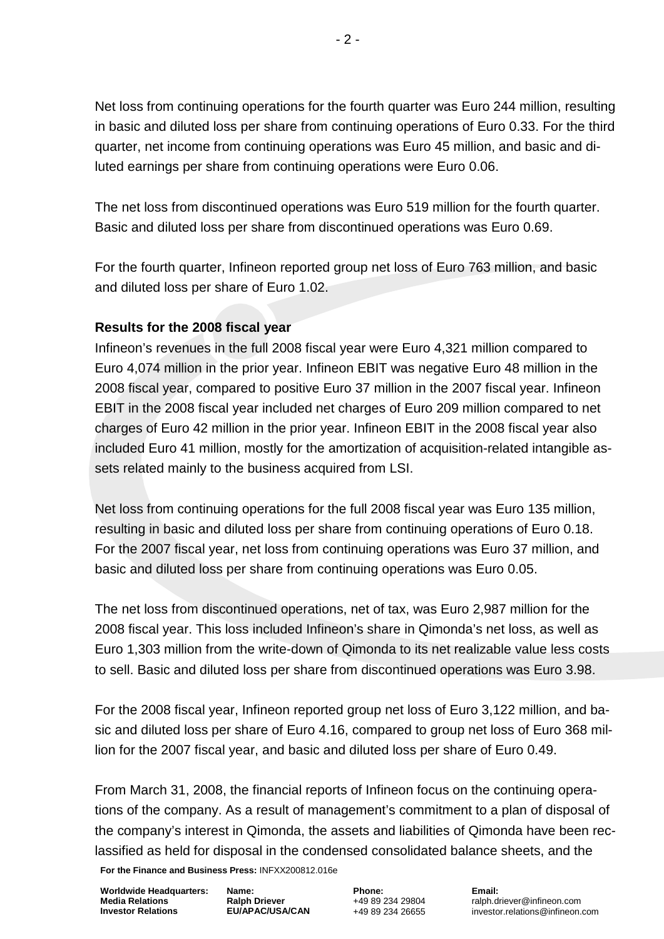Net loss from continuing operations for the fourth quarter was Euro 244 million, resulting in basic and diluted loss per share from continuing operations of Euro 0.33. For the third quarter, net income from continuing operations was Euro 45 million, and basic and diluted earnings per share from continuing operations were Euro 0.06.

The net loss from discontinued operations was Euro 519 million for the fourth quarter. Basic and diluted loss per share from discontinued operations was Euro 0.69.

For the fourth quarter, Infineon reported group net loss of Euro 763 million, and basic and diluted loss per share of Euro 1.02.

# **Results for the 2008 fiscal year**

Infineon's revenues in the full 2008 fiscal year were Euro 4,321 million compared to Euro 4,074 million in the prior year. Infineon EBIT was negative Euro 48 million in the 2008 fiscal year, compared to positive Euro 37 million in the 2007 fiscal year. Infineon EBIT in the 2008 fiscal year included net charges of Euro 209 million compared to net charges of Euro 42 million in the prior year. Infineon EBIT in the 2008 fiscal year also included Euro 41 million, mostly for the amortization of acquisition-related intangible assets related mainly to the business acquired from LSI.

Net loss from continuing operations for the full 2008 fiscal year was Euro 135 million, resulting in basic and diluted loss per share from continuing operations of Euro 0.18. For the 2007 fiscal year, net loss from continuing operations was Euro 37 million, and basic and diluted loss per share from continuing operations was Euro 0.05.

The net loss from discontinued operations, net of tax, was Euro 2,987 million for the 2008 fiscal year. This loss included Infineon's share in Qimonda's net loss, as well as Euro 1,303 million from the write-down of Qimonda to its net realizable value less costs to sell. Basic and diluted loss per share from discontinued operations was Euro 3.98.

For the 2008 fiscal year, Infineon reported group net loss of Euro 3,122 million, and basic and diluted loss per share of Euro 4.16, compared to group net loss of Euro 368 million for the 2007 fiscal year, and basic and diluted loss per share of Euro 0.49.

From March 31, 2008, the financial reports of Infineon focus on the continuing operations of the company. As a result of management's commitment to a plan of disposal of the company's interest in Qimonda, the assets and liabilities of Qimonda have been reclassified as held for disposal in the condensed consolidated balance sheets, and the

**For the Finance and Business Press:** INFXX200812.016e

**Name: Ralph Driever EU/APAC/USA/CAN** **Phone:** +49 89 234 29804 +49 89 234 26655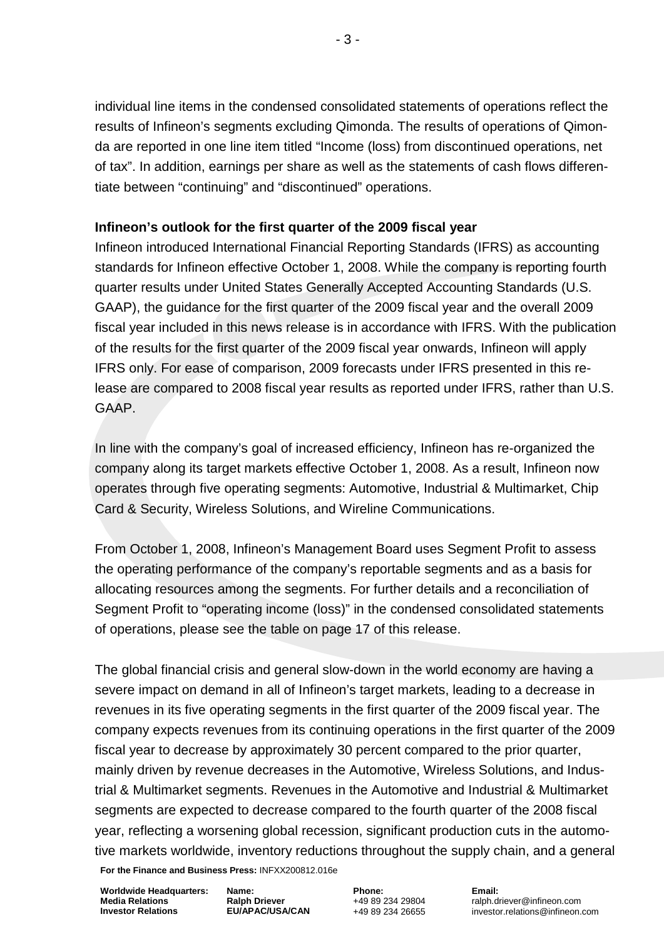individual line items in the condensed consolidated statements of operations reflect the results of Infineon's segments excluding Qimonda. The results of operations of Qimonda are reported in one line item titled "Income (loss) from discontinued operations, net of tax". In addition, earnings per share as well as the statements of cash flows differentiate between "continuing" and "discontinued" operations.

# **Infineon's outlook for the first quarter of the 2009 fiscal year**

Infineon introduced International Financial Reporting Standards (IFRS) as accounting standards for Infineon effective October 1, 2008. While the company is reporting fourth quarter results under United States Generally Accepted Accounting Standards (U.S. GAAP), the guidance for the first quarter of the 2009 fiscal year and the overall 2009 fiscal year included in this news release is in accordance with IFRS. With the publication of the results for the first quarter of the 2009 fiscal year onwards, Infineon will apply IFRS only. For ease of comparison, 2009 forecasts under IFRS presented in this release are compared to 2008 fiscal year results as reported under IFRS, rather than U.S. GAAP.

In line with the company's goal of increased efficiency, Infineon has re-organized the company along its target markets effective October 1, 2008. As a result, Infineon now operates through five operating segments: Automotive, Industrial & Multimarket, Chip Card & Security, Wireless Solutions, and Wireline Communications.

From October 1, 2008, Infineon's Management Board uses Segment Profit to assess the operating performance of the company's reportable segments and as a basis for allocating resources among the segments. For further details and a reconciliation of Segment Profit to "operating income (loss)" in the condensed consolidated statements of operations, please see the table on page 17 of this release.

The global financial crisis and general slow-down in the world economy are having a severe impact on demand in all of Infineon's target markets, leading to a decrease in revenues in its five operating segments in the first quarter of the 2009 fiscal year. The company expects revenues from its continuing operations in the first quarter of the 2009 fiscal year to decrease by approximately 30 percent compared to the prior quarter, mainly driven by revenue decreases in the Automotive, Wireless Solutions, and Industrial & Multimarket segments. Revenues in the Automotive and Industrial & Multimarket segments are expected to decrease compared to the fourth quarter of the 2008 fiscal year, reflecting a worsening global recession, significant production cuts in the automotive markets worldwide, inventory reductions throughout the supply chain, and a general

**For the Finance and Business Press:** INFXX200812.016e

**Worldwide Headquarters: Media Relations Investor Relations**

**Name: Ralph Driever EU/APAC/USA/CAN** **Phone:** +49 89 234 29804 +49 89 234 26655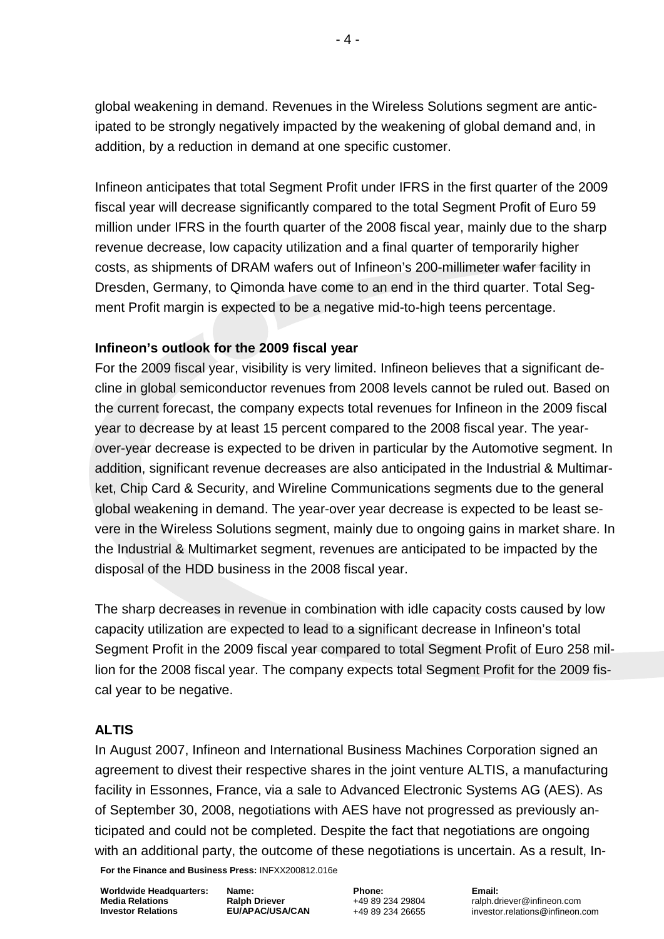global weakening in demand. Revenues in the Wireless Solutions segment are anticipated to be strongly negatively impacted by the weakening of global demand and, in addition, by a reduction in demand at one specific customer.

Infineon anticipates that total Segment Profit under IFRS in the first quarter of the 2009 fiscal year will decrease significantly compared to the total Segment Profit of Euro 59 million under IFRS in the fourth quarter of the 2008 fiscal year, mainly due to the sharp revenue decrease, low capacity utilization and a final quarter of temporarily higher costs, as shipments of DRAM wafers out of Infineon's 200-millimeter wafer facility in Dresden, Germany, to Qimonda have come to an end in the third quarter. Total Segment Profit margin is expected to be a negative mid-to-high teens percentage.

# **Infineon's outlook for the 2009 fiscal year**

For the 2009 fiscal year, visibility is very limited. Infineon believes that a significant decline in global semiconductor revenues from 2008 levels cannot be ruled out. Based on the current forecast, the company expects total revenues for Infineon in the 2009 fiscal year to decrease by at least 15 percent compared to the 2008 fiscal year. The yearover-year decrease is expected to be driven in particular by the Automotive segment. In addition, significant revenue decreases are also anticipated in the Industrial & Multimarket, Chip Card & Security, and Wireline Communications segments due to the general global weakening in demand. The year-over year decrease is expected to be least severe in the Wireless Solutions segment, mainly due to ongoing gains in market share. In the Industrial & Multimarket segment, revenues are anticipated to be impacted by the disposal of the HDD business in the 2008 fiscal year.

The sharp decreases in revenue in combination with idle capacity costs caused by low capacity utilization are expected to lead to a significant decrease in Infineon's total Segment Profit in the 2009 fiscal year compared to total Segment Profit of Euro 258 million for the 2008 fiscal year. The company expects total Segment Profit for the 2009 fiscal year to be negative.

# **ALTIS**

In August 2007, Infineon and International Business Machines Corporation signed an agreement to divest their respective shares in the joint venture ALTIS, a manufacturing facility in Essonnes, France, via a sale to Advanced Electronic Systems AG (AES). As of September 30, 2008, negotiations with AES have not progressed as previously anticipated and could not be completed. Despite the fact that negotiations are ongoing with an additional party, the outcome of these negotiations is uncertain. As a result, In-

**For the Finance and Business Press:** INFXX200812.016e

**Worldwide Headquarters: Media Relations Investor Relations**

**Name: Ralph Driever EU/APAC/USA/CAN** **Phone:** +49 89 234 29804 +49 89 234 26655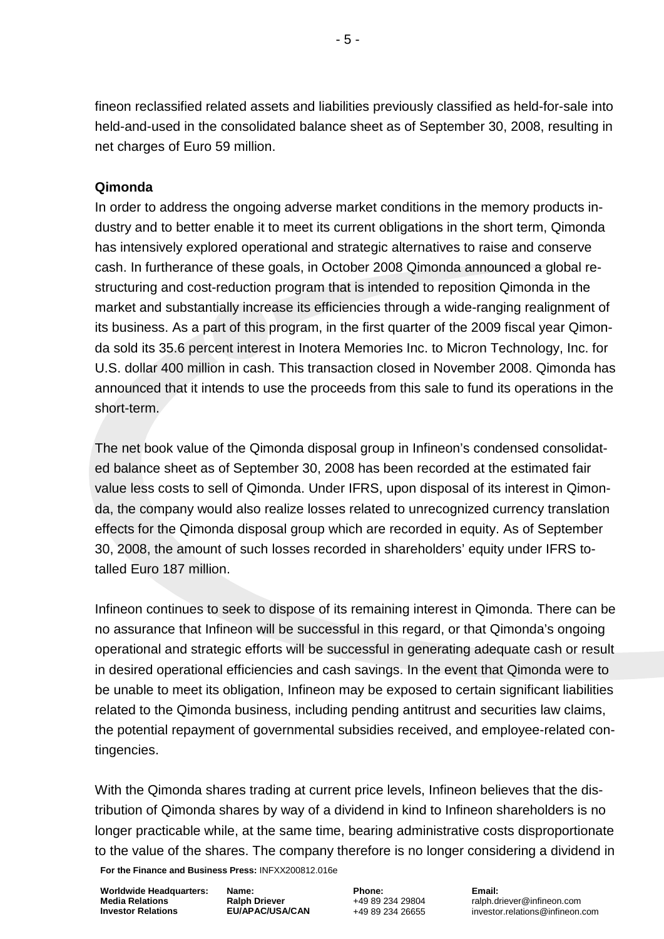fineon reclassified related assets and liabilities previously classified as held-for-sale into held-and-used in the consolidated balance sheet as of September 30, 2008, resulting in net charges of Euro 59 million.

# **Qimonda**

In order to address the ongoing adverse market conditions in the memory products industry and to better enable it to meet its current obligations in the short term, Qimonda has intensively explored operational and strategic alternatives to raise and conserve cash. In furtherance of these goals, in October 2008 Qimonda announced a global restructuring and cost-reduction program that is intended to reposition Qimonda in the market and substantially increase its efficiencies through a wide-ranging realignment of its business. As a part of this program, in the first quarter of the 2009 fiscal year Qimonda sold its 35.6 percent interest in Inotera Memories Inc. to Micron Technology, Inc. for U.S. dollar 400 million in cash. This transaction closed in November 2008. Qimonda has announced that it intends to use the proceeds from this sale to fund its operations in the short-term.

The net book value of the Qimonda disposal group in Infineon's condensed consolidated balance sheet as of September 30, 2008 has been recorded at the estimated fair value less costs to sell of Qimonda. Under IFRS, upon disposal of its interest in Qimonda, the company would also realize losses related to unrecognized currency translation effects for the Qimonda disposal group which are recorded in equity. As of September 30, 2008, the amount of such losses recorded in shareholders' equity under IFRS totalled Euro 187 million.

Infineon continues to seek to dispose of its remaining interest in Qimonda. There can be no assurance that Infineon will be successful in this regard, or that Qimonda's ongoing operational and strategic efforts will be successful in generating adequate cash or result in desired operational efficiencies and cash savings. In the event that Qimonda were to be unable to meet its obligation, Infineon may be exposed to certain significant liabilities related to the Qimonda business, including pending antitrust and securities law claims, the potential repayment of governmental subsidies received, and employee-related contingencies.

With the Qimonda shares trading at current price levels, Infineon believes that the distribution of Qimonda shares by way of a dividend in kind to Infineon shareholders is no longer practicable while, at the same time, bearing administrative costs disproportionate to the value of the shares. The company therefore is no longer considering a dividend in

**For the Finance and Business Press:** INFXX200812.016e

**Worldwide Headquarters: Media Relations Investor Relations**

**Name: Ralph Driever EU/APAC/USA/CAN** **Phone:** +49 89 234 29804 +49 89 234 26655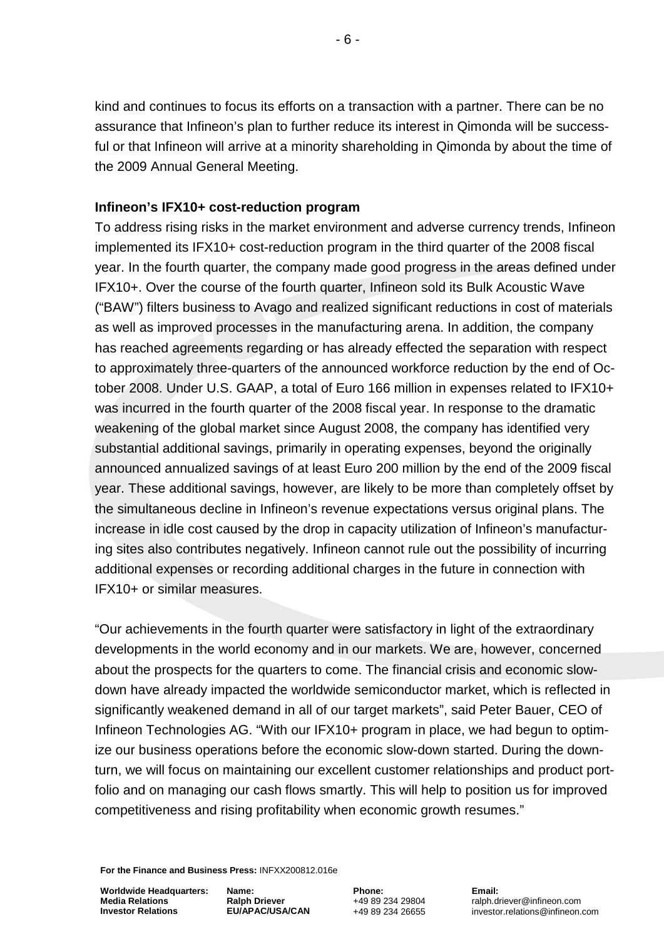kind and continues to focus its efforts on a transaction with a partner. There can be no assurance that Infineon's plan to further reduce its interest in Qimonda will be successful or that Infineon will arrive at a minority shareholding in Qimonda by about the time of the 2009 Annual General Meeting.

#### **Infineon's IFX10+ cost-reduction program**

To address rising risks in the market environment and adverse currency trends, Infineon implemented its IFX10+ cost-reduction program in the third quarter of the 2008 fiscal year. In the fourth quarter, the company made good progress in the areas defined under IFX10+. Over the course of the fourth quarter, Infineon sold its Bulk Acoustic Wave ("BAW") filters business to Avago and realized significant reductions in cost of materials as well as improved processes in the manufacturing arena. In addition, the company has reached agreements regarding or has already effected the separation with respect to approximately three-quarters of the announced workforce reduction by the end of October 2008. Under U.S. GAAP, a total of Euro 166 million in expenses related to IFX10+ was incurred in the fourth quarter of the 2008 fiscal year. In response to the dramatic weakening of the global market since August 2008, the company has identified very substantial additional savings, primarily in operating expenses, beyond the originally announced annualized savings of at least Euro 200 million by the end of the 2009 fiscal year. These additional savings, however, are likely to be more than completely offset by the simultaneous decline in Infineon's revenue expectations versus original plans. The increase in idle cost caused by the drop in capacity utilization of Infineon's manufacturing sites also contributes negatively. Infineon cannot rule out the possibility of incurring additional expenses or recording additional charges in the future in connection with IFX10+ or similar measures.

"Our achievements in the fourth quarter were satisfactory in light of the extraordinary developments in the world economy and in our markets. We are, however, concerned about the prospects for the quarters to come. The financial crisis and economic slowdown have already impacted the worldwide semiconductor market, which is reflected in significantly weakened demand in all of our target markets", said Peter Bauer, CEO of Infineon Technologies AG. "With our IFX10+ program in place, we had begun to optimize our business operations before the economic slow-down started. During the downturn, we will focus on maintaining our excellent customer relationships and product portfolio and on managing our cash flows smartly. This will help to position us for improved competitiveness and rising profitability when economic growth resumes."

**For the Finance and Business Press:** INFXX200812.016e

**Worldwide Headquarters: Media Relations Investor Relations**

**Name: Ralph Driever EU/APAC/USA/CAN** **Phone:** +49 89 234 29804 +49 89 234 26655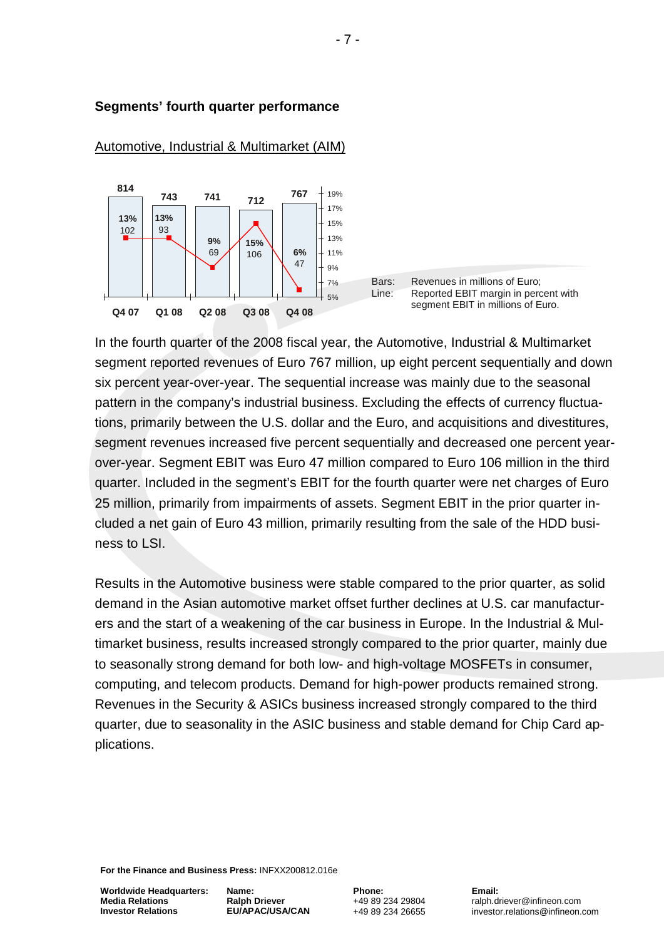

#### **Segments' fourth quarter performance**



#### Automotive, Industrial & Multimarket (AIM)

In the fourth quarter of the 2008 fiscal year, the Automotive, Industrial & Multimarket segment reported revenues of Euro 767 million, up eight percent sequentially and down six percent year-over-year. The sequential increase was mainly due to the seasonal pattern in the company's industrial business. Excluding the effects of currency fluctuations, primarily between the U.S. dollar and the Euro, and acquisitions and divestitures, segment revenues increased five percent sequentially and decreased one percent yearover-year. Segment EBIT was Euro 47 million compared to Euro 106 million in the third quarter. Included in the segment's EBIT for the fourth quarter were net charges of Euro 25 million, primarily from impairments of assets. Segment EBIT in the prior quarter included a net gain of Euro 43 million, primarily resulting from the sale of the HDD business to LSI.

Results in the Automotive business were stable compared to the prior quarter, as solid demand in the Asian automotive market offset further declines at U.S. car manufacturers and the start of a weakening of the car business in Europe. In the Industrial & Multimarket business, results increased strongly compared to the prior quarter, mainly due to seasonally strong demand for both low- and high-voltage MOSFETs in consumer, computing, and telecom products. Demand for high-power products remained strong. Revenues in the Security & ASICs business increased strongly compared to the third quarter, due to seasonality in the ASIC business and stable demand for Chip Card applications.

**For the Finance and Business Press:** INFXX200812.016e

**Worldwide Headquarters: Media Relations Investor Relations**

**Name: Ralph Driever EU/APAC/USA/CAN** **Phone:** +49 89 234 29804 +49 89 234 26655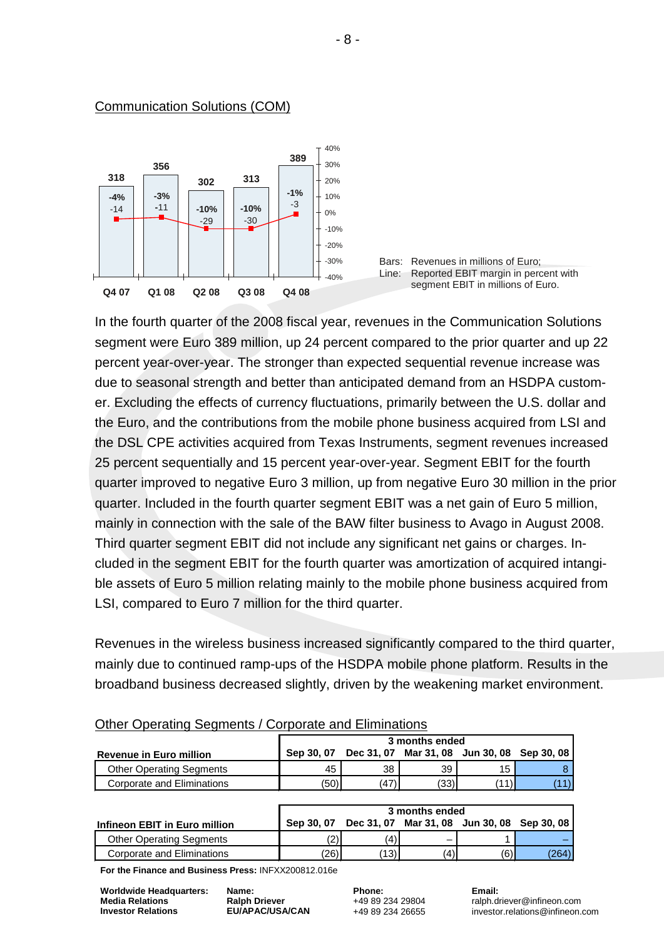

#### Communication Solutions (COM)



In the fourth quarter of the 2008 fiscal year, revenues in the Communication Solutions segment were Euro 389 million, up 24 percent compared to the prior quarter and up 22 percent year-over-year. The stronger than expected sequential revenue increase was due to seasonal strength and better than anticipated demand from an HSDPA customer. Excluding the effects of currency fluctuations, primarily between the U.S. dollar and the Euro, and the contributions from the mobile phone business acquired from LSI and the DSL CPE activities acquired from Texas Instruments, segment revenues increased 25 percent sequentially and 15 percent year-over-year. Segment EBIT for the fourth quarter improved to negative Euro 3 million, up from negative Euro 30 million in the prior quarter. Included in the fourth quarter segment EBIT was a net gain of Euro 5 million, mainly in connection with the sale of the BAW filter business to Avago in August 2008. Third quarter segment EBIT did not include any significant net gains or charges. Included in the segment EBIT for the fourth quarter was amortization of acquired intangible assets of Euro 5 million relating mainly to the mobile phone business acquired from LSI, compared to Euro 7 million for the third quarter.

Revenues in the wireless business increased significantly compared to the third quarter, mainly due to continued ramp-ups of the HSDPA mobile phone platform. Results in the broadband business decreased slightly, driven by the weakening market environment.

|                                 | 3 months ended |                                             |      |                 |  |  |  |  |
|---------------------------------|----------------|---------------------------------------------|------|-----------------|--|--|--|--|
| <b>Revenue in Euro million</b>  | Sep 30, 07     | Dec 31, 07 Mar 31, 08 Jun 30, 08 Sep 30, 08 |      |                 |  |  |  |  |
| <b>Other Operating Segments</b> | 45             | 38                                          | 39   | 15 <sub>1</sub> |  |  |  |  |
| Corporate and Eliminations      | (50)           | (47)                                        | (33) |                 |  |  |  |  |

|  | Other Operating Segments / Corporate and Eliminations |  |  |  |
|--|-------------------------------------------------------|--|--|--|
|--|-------------------------------------------------------|--|--|--|

|                                 | 3 months ended |      |                                             |     |       |  |  |  |
|---------------------------------|----------------|------|---------------------------------------------|-----|-------|--|--|--|
| Infineon EBIT in Euro million   | Sep 30, 07     |      | Dec 31, 07 Mar 31, 08 Jun 30, 08 Sep 30, 08 |     |       |  |  |  |
| <b>Other Operating Segments</b> |                | (4)  |                                             |     |       |  |  |  |
| Corporate and Eliminations      | 26             | (13) | <b>Δ</b> )                                  | (6) | (264) |  |  |  |

**For the Finance and Business Press:** INFXX200812.016e

**Worldwide Headquarters: Media Relations Investor Relations**

**Name: Ralph Driever EU/APAC/USA/CAN** **Phone:** +49 89 234 29804 +49 89 234 26655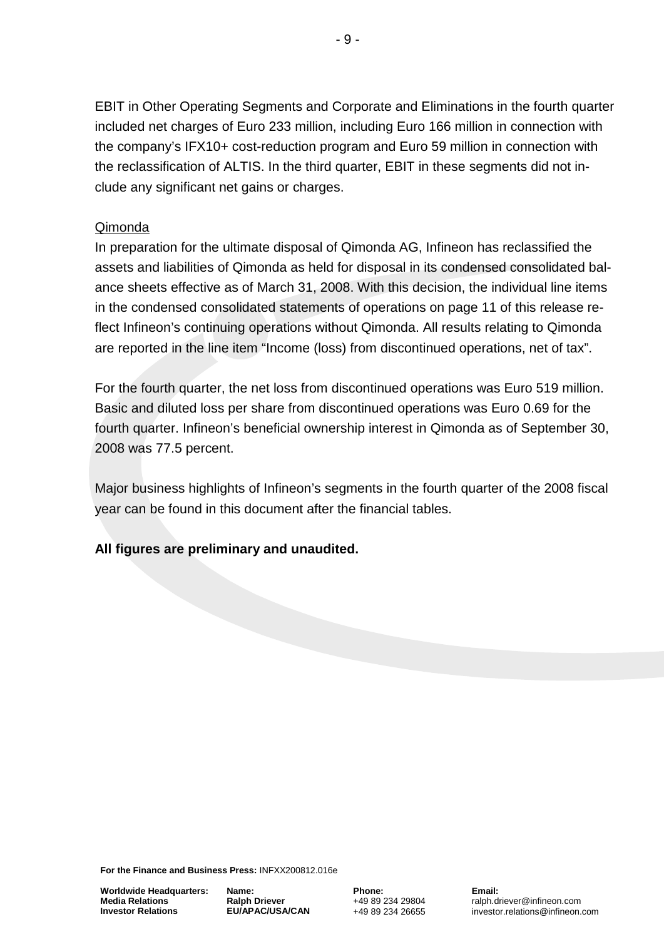EBIT in Other Operating Segments and Corporate and Eliminations in the fourth quarter included net charges of Euro 233 million, including Euro 166 million in connection with the company's IFX10+ cost-reduction program and Euro 59 million in connection with the reclassification of ALTIS. In the third quarter, EBIT in these segments did not include any significant net gains or charges.

## Qimonda

In preparation for the ultimate disposal of Qimonda AG, Infineon has reclassified the assets and liabilities of Qimonda as held for disposal in its condensed consolidated balance sheets effective as of March 31, 2008. With this decision, the individual line items in the condensed consolidated statements of operations on page 11 of this release reflect Infineon's continuing operations without Qimonda. All results relating to Qimonda are reported in the line item "Income (loss) from discontinued operations, net of tax".

For the fourth quarter, the net loss from discontinued operations was Euro 519 million. Basic and diluted loss per share from discontinued operations was Euro 0.69 for the fourth quarter. Infineon's beneficial ownership interest in Qimonda as of September 30, 2008 was 77.5 percent.

Major business highlights of Infineon's segments in the fourth quarter of the 2008 fiscal year can be found in this document after the financial tables.

# **All figures are preliminary and unaudited.**

**For the Finance and Business Press:** INFXX200812.016e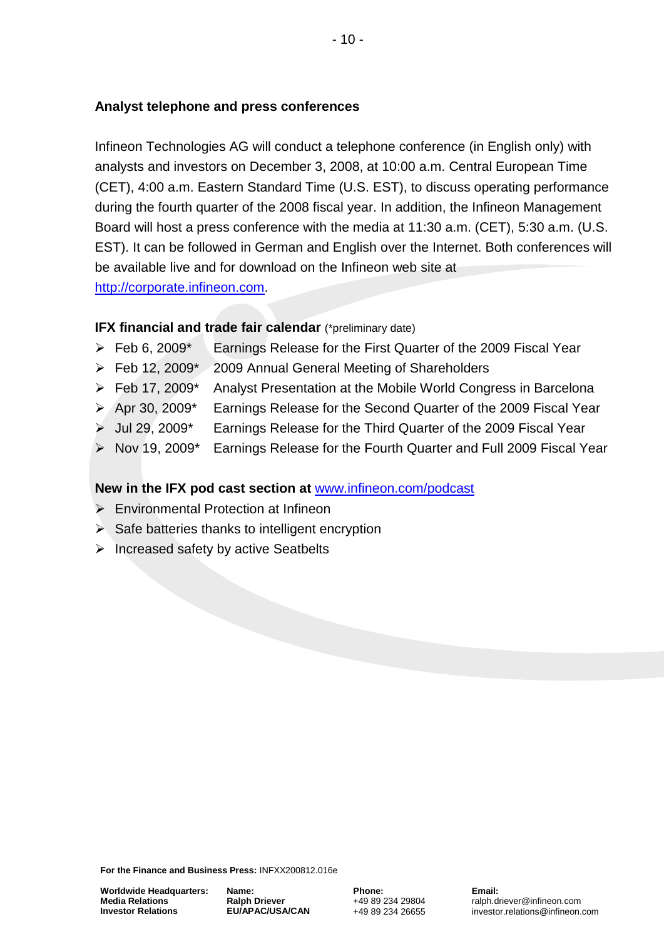# **Analyst telephone and press conferences**

Infineon Technologies AG will conduct a telephone conference (in English only) with analysts and investors on December 3, 2008, at 10:00 a.m. Central European Time (CET), 4:00 a.m. Eastern Standard Time (U.S. EST), to discuss operating performance during the fourth quarter of the 2008 fiscal year. In addition, the Infineon Management Board will host a press conference with the media at 11:30 a.m. (CET), 5:30 a.m. (U.S. EST). It can be followed in German and English over the Internet. Both conferences will be available live and for download on the Infineon web site at [http://corporate.infineon.com.](http://corporate.infineon.com/)

#### **IFX financial and trade fair calendar** (\*preliminary date)

- ▶ Feb 6, 2009<sup>\*</sup> Earnings Release for the First Quarter of the 2009 Fiscal Year
- Feb 12, 2009\* 2009 Annual General Meeting of Shareholders
- ▶ Feb 17, 2009<sup>\*</sup> Analyst Presentation at the Mobile World Congress in Barcelona
- Apr 30, 2009\* Earnings Release for the Second Quarter of the 2009 Fiscal Year
- Jul 29, 2009\* Earnings Release for the Third Quarter of the 2009 Fiscal Year
- ▶ Nov 19, 2009\* Earnings Release for the Fourth Quarter and Full 2009 Fiscal Year

# **New in the IFX pod cast section at** [www.infineon.com/podcast](http://www.infineon.com/podcast)

- Environmental Protection at Infineon
- $\triangleright$  Safe batteries thanks to intelligent encryption
- $\triangleright$  Increased safety by active Seatbelts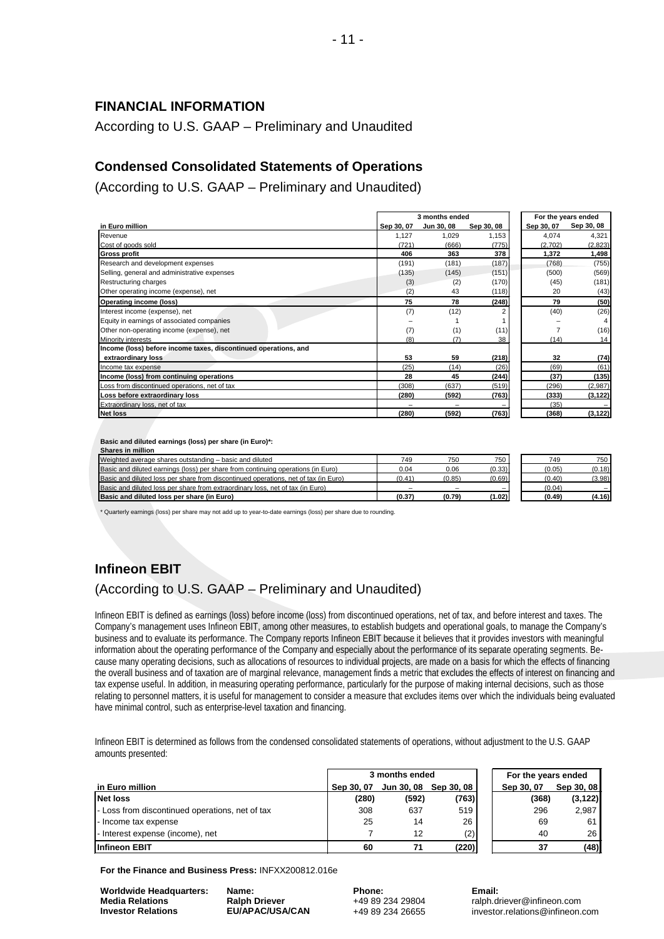#### **FINANCIAL INFORMATION**

According to U.S. GAAP – Preliminary and Unaudited

## **Condensed Consolidated Statements of Operations**

(According to U.S. GAAP – Preliminary and Unaudited)

|                                                                 |            | 3 months ended |            |            |            |  |
|-----------------------------------------------------------------|------------|----------------|------------|------------|------------|--|
| in Euro million                                                 | Sep 30, 07 | Jun 30, 08     | Sep 30, 08 | Sep 30, 07 | Sep 30, 08 |  |
| Revenue                                                         | 1,127      | 1,029          | 1,153      | 4,074      | 4,321      |  |
| Cost of goods sold                                              | (721)      | (666)          | (775)      | (2.702)    | (2,823)    |  |
| <b>Gross profit</b>                                             | 406        | 363            | 378        | 1,372      | 1,498      |  |
| Research and development expenses                               | (191)      | (181)          | (187)      | (768)      | (755)      |  |
| Selling, general and administrative expenses                    | (135)      | (145)          | (151)      | (500)      | (569)      |  |
| Restructuring charges                                           | (3)        | (2)            | (170)      | (45)       | (181)      |  |
| Other operating income (expense), net                           | (2)        | 43             | (118)      | 20         | (43)       |  |
| Operating income (loss)                                         | 75         | 78             | (248)      | 79         | (50)       |  |
| Interest income (expense), net                                  | (7)        | (12)           |            | (40)       | (26)       |  |
| Equity in earnings of associated companies                      |            |                |            |            | 4          |  |
| Other non-operating income (expense), net                       | (7)        | (1)            | (11)       |            | (16)       |  |
| Minority interests                                              | (8)        | (7)            | 38         | (14)       | 14         |  |
| Income (loss) before income taxes, discontinued operations, and |            |                |            |            |            |  |
| extraordinary loss                                              | 53         | 59             | (218)      | 32         | (74)       |  |
| Income tax expense                                              | (25)       | (14)           | (26)       | (69)       | (61)       |  |
| Income (loss) from continuing operations                        | 28         | 45             | (244)      | (37)       | (135)      |  |
| Loss from discontinued operations, net of tax                   | (308)      | (637)          | (519)      | (296)      | (2,987)    |  |
| Loss before extraordinary loss                                  | (280)      | (592)          | (763)      | (333)      | (3, 122)   |  |
| Extraordinary loss, net of tax                                  |            |                |            | (35)       |            |  |
| <b>Net loss</b>                                                 | (280)      | (592)          | (763)      | (368)      | (3, 122)   |  |

**Basic and diluted earnings (loss) per share (in Euro)\*:**

| <b>Shares in million</b>                                                            |        |                          |        |        |        |
|-------------------------------------------------------------------------------------|--------|--------------------------|--------|--------|--------|
| Weighted average shares outstanding - basic and diluted                             | 749    | 750                      | 750    | 749    | 750    |
| Basic and diluted earnings (loss) per share from continuing operations (in Euro)    | 0.04   | 0.06                     | (0.33) | (0.05) | (0.18) |
| Basic and diluted loss per share from discontinued operations, net of tax (in Euro) | (0.41) | (0.85)                   | (0.69) | (0.40) | (3.98) |
| Basic and diluted loss per share from extraordinary loss, net of tax (in Euro)      |        | $\overline{\phantom{0}}$ |        | (0.04) |        |
| Basic and diluted loss per share (in Euro)                                          | (0.37) | (0.79)                   | (1.02) | (0.49) | (4.16) |

\* Quarterly earnings (loss) per share may not add up to year-to-date earnings (loss) per share due to rounding.

# **Infineon EBIT** (According to U.S. GAAP – Preliminary and Unaudited)

Infineon EBIT is defined as earnings (loss) before income (loss) from discontinued operations, net of tax, and before interest and taxes. The Company's management uses Infineon EBIT, among other measures, to establish budgets and operational goals, to manage the Company's business and to evaluate its performance. The Company reports Infineon EBIT because it believes that it provides investors with meaningful information about the operating performance of the Company and especially about the performance of its separate operating segments. Because many operating decisions, such as allocations of resources to individual projects, are made on a basis for which the effects of financing the overall business and of taxation are of marginal relevance, management finds a metric that excludes the effects of interest on financing and tax expense useful. In addition, in measuring operating performance, particularly for the purpose of making internal decisions, such as those relating to personnel matters, it is useful for management to consider a measure that excludes items over which the individuals being evaluated have minimal control, such as enterprise-level taxation and financing.

Infineon EBIT is determined as follows from the condensed consolidated statements of operations, without adjustment to the U.S. GAAP amounts presented:

|                                                 |            | 3 months ended |                       |  |            | For the years ended |
|-------------------------------------------------|------------|----------------|-----------------------|--|------------|---------------------|
| in Euro million                                 | Sep 30, 07 |                | Jun 30, 08 Sep 30, 08 |  | Sep 30, 07 | Sep 30, 08          |
| Net loss                                        | (280)      | (592)          | (763)                 |  | (368)      | (3, 122)            |
| - Loss from discontinued operations, net of tax | 308        | 637            | 519                   |  | 296        | 2,987               |
| - Income tax expense                            | 25         | 14             | 26                    |  | 69         | 61                  |
| - Interest expense (income), net                |            | 12             | (2)                   |  | 40         | 26                  |
| <b>Infineon EBIT</b>                            | 60         |                | (220)                 |  | 37         | (48)                |

**For the Finance and Business Press:** INFXX200812.016e

**Worldwide Headquarters: Media Relations Investor Relations**

**Name: Ralph Driever EU/APAC/USA/CAN** **Phone:** +49 89 234 29804 +49 89 234 26655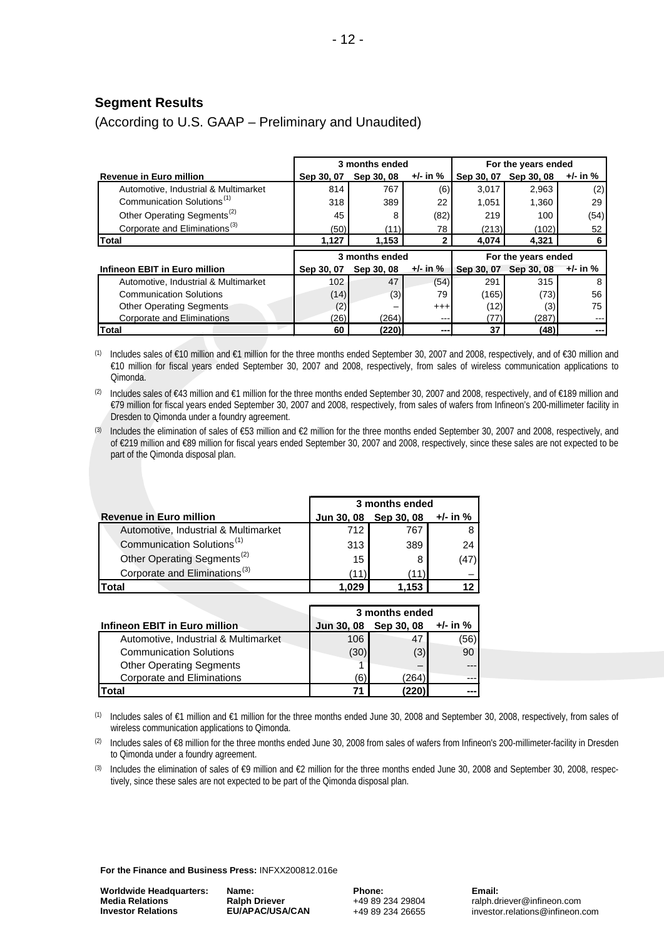#### **Segment Results**

|                                           | 3 months ended |                |              | For the years ended |                     |              |
|-------------------------------------------|----------------|----------------|--------------|---------------------|---------------------|--------------|
| <b>Revenue in Euro million</b>            | Sep 30, 07     | Sep 30, 08     | +/- in %     | Sep 30, 07          | Sep 30, 08          | $+/-$ in $%$ |
| Automotive, Industrial & Multimarket      | 814            | 767            | (6)          | 3,017               | 2,963               | (2)          |
| Communication Solutions <sup>(1)</sup>    | 318            | 389            | 22           | 1,051               | 1,360               | 29           |
| Other Operating Segments <sup>(2)</sup>   | 45             | 8              | (82)         | 219                 | 100                 | (54)         |
| Corporate and Eliminations <sup>(3)</sup> | (50)           | (11)           | 78           | (213)               | (102)               | 52           |
| Total                                     | 1,127          | 1,153          | $\mathbf{2}$ | 4,074               | 4,321               | 6            |
|                                           |                | 3 months ended |              |                     | For the years ended |              |
| Infineon EBIT in Euro million             | Sep 30, 07     | Sep 30, 08     | +/- in %     | Sep 30, 07          | Sep 30, 08          | $+/-$ in $%$ |
| Automotive, Industrial & Multimarket      | 102            | 47             | (54)         | 291                 | 315                 | 8            |
| <b>Communication Solutions</b>            | (14)           | (3)            | 79           | (165)               | (73)                | 56           |
| <b>Other Operating Segments</b>           | (2)            |                | $^{+++}$     | (12)                | (3)                 | 75           |
|                                           | (26)           | (264)          | $--$         | (77)                | (287)               |              |
| Corporate and Eliminations                |                |                |              |                     |                     |              |

(According to U.S. GAAP – Preliminary and Unaudited)

(1) Includes sales of €10 million and €1 million for the three months ended September 30, 2007 and 2008, respectively, and of €30 million and €10 million for fiscal years ended September 30, 2007 and 2008, respectively, from sales of wireless communication applications to Qimonda.

(2) Includes sales of €43 million and €1 million for the three months ended September 30, 2007 and 2008, respectively, and of €189 million and €79 million for fiscal years ended September 30, 2007 and 2008, respectively, from sales of wafers from Infineon's 200-millimeter facility in Dresden to Qimonda under a foundry agreement.

(3) Includes the elimination of sales of €53 million and €2 million for the three months ended September 30, 2007 and 2008, respectively, and of €219 million and €89 million for fiscal years ended September 30, 2007 and 2008, respectively, since these sales are not expected to be part of the Qimonda disposal plan.

|                                           | 3 months ended |                       |            |  |  |  |
|-------------------------------------------|----------------|-----------------------|------------|--|--|--|
| <b>Revenue in Euro million</b>            |                | Jun 30, 08 Sep 30, 08 | $+/-$ in % |  |  |  |
| Automotive, Industrial & Multimarket      | 712            | 767                   |            |  |  |  |
| Communication Solutions <sup>(1)</sup>    | 313            | 389                   | 24         |  |  |  |
| Other Operating Segments <sup>(2)</sup>   | 15             |                       | (47)       |  |  |  |
| Corporate and Eliminations <sup>(3)</sup> | (11)           | $^{\prime}$ 11        |            |  |  |  |
| 'otal                                     | 1.029          | .153                  |            |  |  |  |

|                                      | 3 months ended |                       |              |  |  |
|--------------------------------------|----------------|-----------------------|--------------|--|--|
| Infineon EBIT in Euro million        |                | Jun 30, 08 Sep 30, 08 | $+/-$ in $%$ |  |  |
| Automotive, Industrial & Multimarket | 106            | 47                    | (56)         |  |  |
| <b>Communication Solutions</b>       | (30)           | (3)                   | 90           |  |  |
| <b>Other Operating Segments</b>      |                |                       |              |  |  |
| Corporate and Eliminations           | '6).           | (264)                 | ---          |  |  |
| otal                                 |                | 220)                  |              |  |  |

(1) Includes sales of €1 million and €1 million for the three months ended June 30, 2008 and September 30, 2008, respectively, from sales of wireless communication applications to Qimonda.

(2) Includes sales of €8 million for the three months ended June 30, 2008 from sales of wafers from Infineon's 200-millimeter-facility in Dresden to Qimonda under a foundry agreement.

(3) Includes the elimination of sales of  $\epsilon$ 9 million and  $\epsilon$ 2 million for the three months ended June 30, 2008 and September 30, 2008, respectively, since these sales are not expected to be part of the Qimonda disposal plan.

**For the Finance and Business Press:** INFXX200812.016e

**Worldwide Headquarters: Media Relations Investor Relations**

**Name: Ralph Driever EU/APAC/USA/CAN** **Phone:** +49 89 234 29804 +49 89 234 26655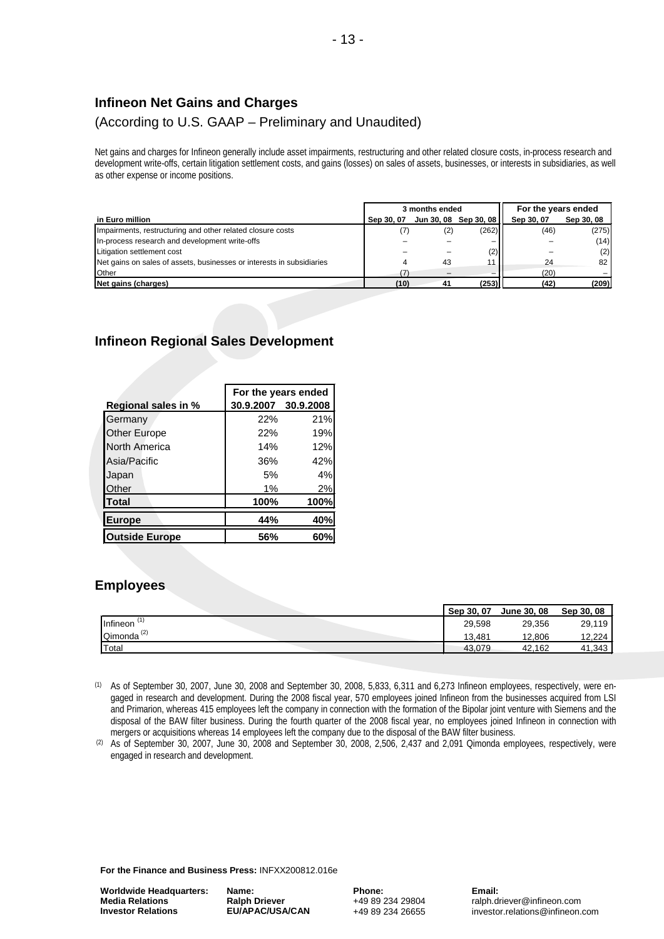#### **Infineon Net Gains and Charges**

#### (According to U.S. GAAP – Preliminary and Unaudited)

Net gains and charges for Infineon generally include asset impairments, restructuring and other related closure costs, in-process research and development write-offs, certain litigation settlement costs, and gains (losses) on sales of assets, businesses, or interests in subsidiaries, as well as other expense or income positions.

|                                                                       |            | 3 months ended        | For the years ended |            |            |
|-----------------------------------------------------------------------|------------|-----------------------|---------------------|------------|------------|
| in Euro million                                                       | Sep 30, 07 | Jun 30, 08 Sep 30, 08 |                     | Sep 30, 07 | Sep 30, 08 |
| Impairments, restructuring and other related closure costs            |            |                       | (262)               | (46)       | (275)      |
| In-process research and development write-offs                        |            |                       |                     |            | (14)       |
| Litigation settlement cost                                            |            |                       | (2)                 |            | (2)        |
| Net gains on sales of assets, businesses or interests in subsidiaries |            | 43                    |                     | 24         | 82         |
| <b>Other</b>                                                          |            |                       |                     | (20)       |            |
| Net gains (charges)                                                   | (10)       | 41                    | (253)               | (42)       | (209)      |

#### **Infineon Regional Sales Development**

|                       | For the years ended |                     |  |  |  |
|-----------------------|---------------------|---------------------|--|--|--|
| Regional sales in %   |                     | 30.9.2007 30.9.2008 |  |  |  |
| Germany               | 22%                 | 21%                 |  |  |  |
| <b>Other Europe</b>   | 22%                 | 19%                 |  |  |  |
| North America         | 14%                 | 12%                 |  |  |  |
| Asia/Pacific          | 36%                 | 42%                 |  |  |  |
| Japan                 | 5%                  | 4%                  |  |  |  |
| Other                 | 1%                  | 2%                  |  |  |  |
| <b>Total</b>          | 100%                | 100%                |  |  |  |
| <b>Europe</b>         | 44%                 | 40%                 |  |  |  |
| <b>Outside Europe</b> | 56%                 | 60%                 |  |  |  |

#### **Employees**

|                 | Sep 30, 07 | <b>June 30, 08</b> | Sep 30, 08 |
|-----------------|------------|--------------------|------------|
| <b>Infineon</b> | 29,598     | 29,356             | 29,119     |
| Qimonda         | 13.481     | 12,806             | 12,224     |
| Total           | 43.079     | 42,162             | 41,343     |

<sup>(1)</sup> As of September 30, 2007, June 30, 2008 and September 30, 2008, 5,833, 6,311 and 6,273 Infineon employees, respectively, were engaged in research and development. During the 2008 fiscal year, 570 employees joined Infineon from the businesses acquired from LSI and Primarion, whereas 415 employees left the company in connection with the formation of the Bipolar joint venture with Siemens and the disposal of the BAW filter business. During the fourth quarter of the 2008 fiscal year, no employees joined Infineon in connection with mergers or acquisitions whereas 14 employees left the company due to the disposal of the BAW filter business.

**For the Finance and Business Press:** INFXX200812.016e

**Worldwide Headquarters: Media Relations Investor Relations**

**Name: Ralph Driever EU/APAC/USA/CAN** **Phone:** +49 89 234 29804 +49 89 234 26655

 $(2)$  As of September 30, 2007, June 30, 2008 and September 30, 2008, 2,506, 2,437 and 2,091 Qimonda employees, respectively, were engaged in research and development.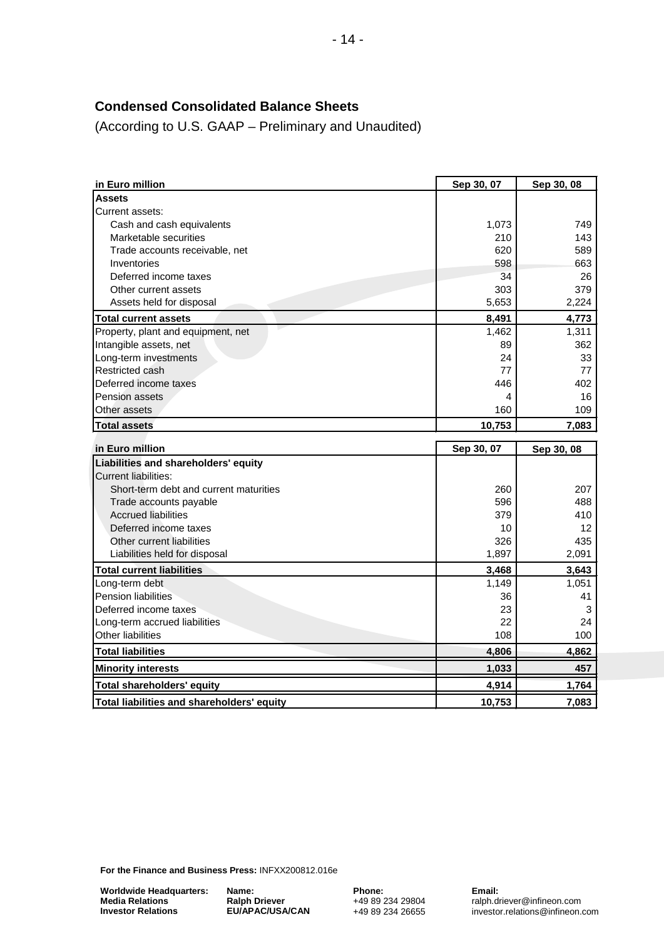# **Condensed Consolidated Balance Sheets**

(According to U.S. GAAP – Preliminary and Unaudited)

| in Euro million                        | Sep 30, 07 | Sep 30, 08 |
|----------------------------------------|------------|------------|
| <b>Assets</b>                          |            |            |
| Current assets:                        |            |            |
| Cash and cash equivalents              | 1,073      | 749        |
| Marketable securities                  | 210        | 143        |
| Trade accounts receivable, net         | 620        | 589        |
| Inventories                            | 598        | 663        |
| Deferred income taxes                  | 34         | 26         |
| Other current assets                   | 303        | 379        |
| Assets held for disposal               | 5,653      | 2,224      |
| <b>Total current assets</b>            | 8,491      | 4,773      |
| Property, plant and equipment, net     | 1,462      | 1,311      |
| Intangible assets, net                 | 89         | 362        |
| Long-term investments                  | 24         | 33         |
| <b>Restricted cash</b>                 | 77         | 77         |
| Deferred income taxes                  | 446        | 402        |
| <b>Pension assets</b>                  | 4          | 16         |
| Other assets                           | 160        | 109        |
| <b>Total assets</b>                    | 10,753     | 7,083      |
|                                        |            |            |
| in Euro million                        | Sep 30, 07 | Sep 30, 08 |
| Liabilities and shareholders' equity   |            |            |
| <b>Current liabilities:</b>            |            |            |
| Short-term debt and current maturities | 260        | 207        |
| Trade accounts payable                 | 596        | 488        |
| <b>Accrued liabilities</b>             | 379        | 410        |
| Deferred income taxes                  | 10         | 12         |
| Other current liabilities              | 326        | 435        |
| Liabilities held for disposal          | 1,897      | 2,091      |
| <b>Total current liabilities</b>       | 3,468      | 3,643      |
| Long-term debt                         | 1,149      | 1,051      |
| Pension liabilities                    | 36         | 41         |
| Deferred income taxes                  | 23         | 3          |
| Long-term accrued liabilities          | 22         | 24         |
| <b>Other liabilities</b>               | 108        | 100        |
| <b>Total liabilities</b>               | 4,806      | 4,862      |
| <b>Minority interests</b>              | 1,033      | 457        |
| <b>Total shareholders' equity</b>      | 4,914      | 1,764      |

**For the Finance and Business Press:** INFXX200812.016e

**Worldwide Headquarters: Media Relations Investor Relations**

**Name: Ralph Driever EU/APAC/USA/CAN**

**Phone:** +49 89 234 29804 +49 89 234 26655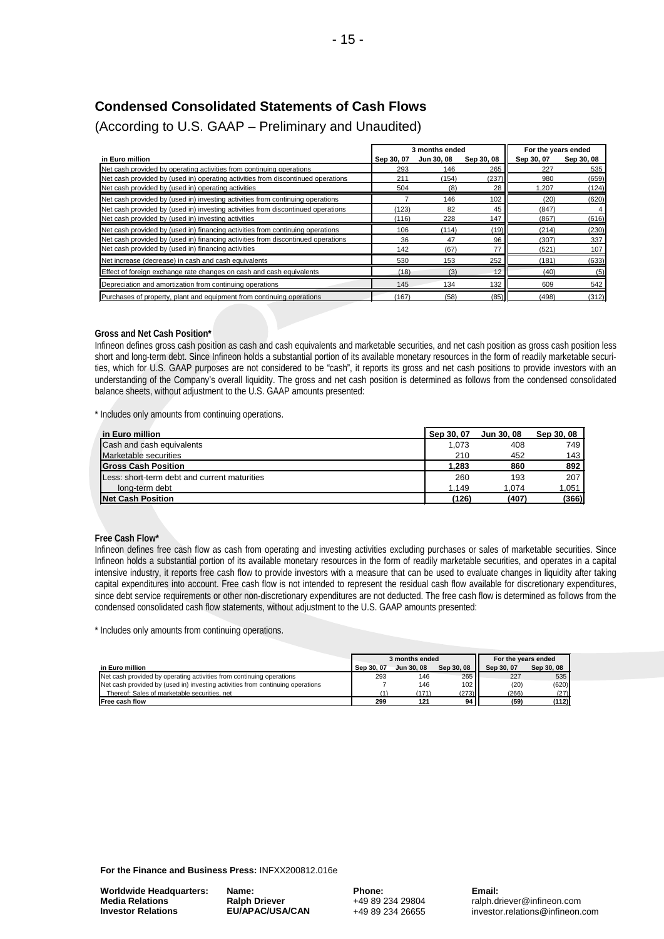## **Condensed Consolidated Statements of Cash Flows**

(According to U.S. GAAP – Preliminary and Unaudited)

|                                                                                  | 3 months ended |            |            | For the years ended |            |  |
|----------------------------------------------------------------------------------|----------------|------------|------------|---------------------|------------|--|
| in Euro million                                                                  | Sep 30, 07     | Jun 30, 08 | Sep 30, 08 | Sep 30, 07          | Sep 30, 08 |  |
| Net cash provided by operating activities from continuing operations             | 293            | 146        | 265        | 227                 | 535        |  |
| Net cash provided by (used in) operating activities from discontinued operations | 211            | (154)      | (237)      | 980                 | (659)      |  |
| Net cash provided by (used in) operating activities                              | 504            | (8         | 28         | .207                | (124)      |  |
| Net cash provided by (used in) investing activities from continuing operations   |                | 146        | 102        | (20)                | (620)      |  |
| Net cash provided by (used in) investing activities from discontinued operations | (123)          | 82         | 45         | (847)               | 4          |  |
| Net cash provided by (used in) investing activities                              | (116)          | 228        | 147        | (867)               | (616)      |  |
| Net cash provided by (used in) financing activities from continuing operations   | 106            | (114)      | (19)       | (214)               | (230)      |  |
| Net cash provided by (used in) financing activities from discontinued operations | 36             | 47         | 96         | (307)               | 337        |  |
| Net cash provided by (used in) financing activities                              | 142            | (67)       | 77         | (521)               | 107        |  |
| Net increase (decrease) in cash and cash equivalents                             | 530            | 153        | 252        | (181)               | (633)      |  |
| Effect of foreign exchange rate changes on cash and cash equivalents             | (18)           | (3)        | 12         | (40)                | (5)        |  |
| Depreciation and amortization from continuing operations                         | 145            | 134        | 132        | 609                 | 542        |  |
| Purchases of property, plant and equipment from continuing operations            | (167)          | (58)       | (85)       | (498)               | (312)      |  |

#### **Gross and Net Cash Position\***

Infineon defines gross cash position as cash and cash equivalents and marketable securities, and net cash position as gross cash position less short and long-term debt. Since Infineon holds a substantial portion of its available monetary resources in the form of readily marketable securities, which for U.S. GAAP purposes are not considered to be "cash", it reports its gross and net cash positions to provide investors with an understanding of the Company's overall liquidity. The gross and net cash position is determined as follows from the condensed consolidated balance sheets, without adjustment to the U.S. GAAP amounts presented:

\* Includes only amounts from continuing operations.

| in Euro million                              | Sep 30, 07 | Jun 30, 08 | Sep 30, 08       |
|----------------------------------------------|------------|------------|------------------|
| Cash and cash equivalents                    | 1.073      | 408        | 749              |
| Marketable securities                        | 210        | 452        | 143 <sub>1</sub> |
| <b>IGross Cash Position</b>                  | 1.283      | 860        | 892              |
| Less: short-term debt and current maturities | 260        | 193        | 207              |
| long-term debt                               | 1.149      | 1.074      | 1.051            |
| <b>INet Cash Position</b>                    | (126)      | (407)      | (366)            |

#### **Free Cash Flow\***

Infineon defines free cash flow as cash from operating and investing activities excluding purchases or sales of marketable securities. Since Infineon holds a substantial portion of its available monetary resources in the form of readily marketable securities, and operates in a capital intensive industry, it reports free cash flow to provide investors with a measure that can be used to evaluate changes in liquidity after taking capital expenditures into account. Free cash flow is not intended to represent the residual cash flow available for discretionary expenditures, since debt service requirements or other non-discretionary expenditures are not deducted. The free cash flow is determined as follows from the condensed consolidated cash flow statements, without adjustment to the U.S. GAAP amounts presented:

\* Includes only amounts from continuing operations.

|                                                                                | 3 months ended |                  |                  | For the years ended |            |
|--------------------------------------------------------------------------------|----------------|------------------|------------------|---------------------|------------|
| in Euro million                                                                | Sep 30, 07     | Jun 30, 08       | Sep 30, 08       | Sep 30, 07          | Sep 30, 08 |
| Net cash provided by operating activities from continuing operations           | 293            | 146              | 265              | 227                 | 535        |
| Net cash provided by (used in) investing activities from continuing operations |                | 146              | 102 <sub>1</sub> | (20)                | (620)      |
| Thereof: Sales of marketable securities, net                                   |                | $^{\prime}$ 171) | (273)            | (266)               | (27)       |
| <b>IFree cash flow</b>                                                         | 299            | 121              | 94               | (59)                | (112)      |

**For the Finance and Business Press:** INFXX200812.016e

**Worldwide Headquarters: Media Relations Investor Relations**

**Name: Ralph Driever EU/APAC/USA/CAN** **Phone:** +49 89 234 29804 +49 89 234 26655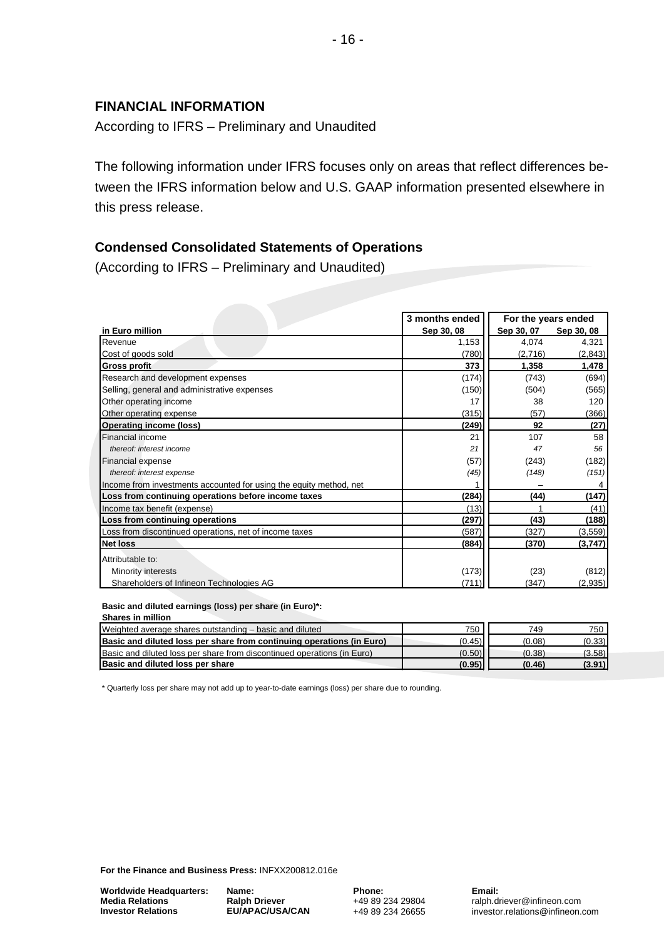#### **FINANCIAL INFORMATION**

According to IFRS – Preliminary and Unaudited

The following information under IFRS focuses only on areas that reflect differences between the IFRS information below and U.S. GAAP information presented elsewhere in this press release.

#### **Condensed Consolidated Statements of Operations**

(According to IFRS – Preliminary and Unaudited)

|                                                                    | 3 months ended | For the years ended |            |
|--------------------------------------------------------------------|----------------|---------------------|------------|
| in Euro million                                                    | Sep 30, 08     | Sep 30, 07          | Sep 30, 08 |
| Revenue                                                            | 1,153          | 4,074               | 4,321      |
| Cost of goods sold                                                 | (780)          | (2,716)             | (2,843)    |
| <b>Gross profit</b>                                                | 373            | 1,358               | 1,478      |
| Research and development expenses                                  | (174)          | (743)               | (694)      |
| Selling, general and administrative expenses                       | (150)          | (504)               | (565)      |
| Other operating income                                             | 17             | 38                  | 120        |
| Other operating expense                                            | (315)          | (57)                | (366)      |
| <b>Operating income (loss)</b>                                     | (249)          | 92                  | (27)       |
| Financial income                                                   | 21             | 107                 | 58         |
| thereof: interest income                                           | 21             | 47                  | 56         |
| <b>Financial expense</b>                                           | (57)           | (243)               | (182)      |
| thereof: interest expense                                          | (45)           | (148)               | (151)      |
| Income from investments accounted for using the equity method, net |                |                     | 4          |
| Loss from continuing operations before income taxes                | (284)          | (44)                | (147)      |
| Income tax benefit (expense)                                       | (13)           |                     | (41)       |
| Loss from continuing operations                                    | (297)          | (43)                | (188)      |
| Loss from discontinued operations, net of income taxes             | (587)          | (327)               | (3,559)    |
| <b>Net loss</b>                                                    | (884)          | (370)               | (3,747)    |
| Attributable to:                                                   |                |                     |            |
| Minority interests                                                 | (173)          | (23)                | (812)      |
| Shareholders of Infineon Technologies AG                           | (711)          | (347)               | (2,935)    |

**Basic and diluted earnings (loss) per share (in Euro)\*:**

| <b>Shares in million</b>                                                |        |        |        |
|-------------------------------------------------------------------------|--------|--------|--------|
| Weighted average shares outstanding – basic and diluted                 | 750    | 749    | 750    |
| Basic and diluted loss per share from continuing operations (in Euro)   | (0.45) | (0.08) | (0.33) |
| Basic and diluted loss per share from discontinued operations (in Euro) | (0.50) | (0.38) | (3.58) |
| Basic and diluted loss per share                                        | (0.95) | (0.46) | (3.91) |

\* Quarterly loss per share may not add up to year-to-date earnings (loss) per share due to rounding.

**For the Finance and Business Press:** INFXX200812.016e

**Worldwide Headquarters: Media Relations Investor Relations**

**Name: Ralph Driever EU/APAC/USA/CAN** **Phone:** +49 89 234 29804 +49 89 234 26655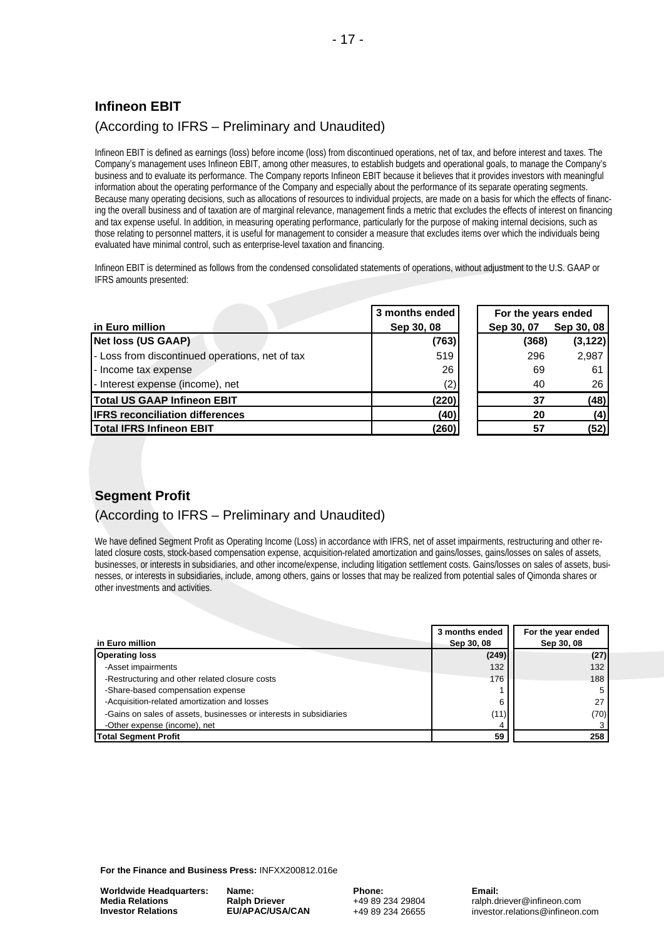#### **Infineon EBIT**

#### (According to IFRS – Preliminary and Unaudited)

Infineon EBIT is defined as earnings (loss) before income (loss) from discontinued operations, net of tax, and before interest and taxes. The Company's management uses Infineon EBIT, among other measures, to establish budgets and operational goals, to manage the Company's business and to evaluate its performance. The Company reports Infineon EBIT because it believes that it provides investors with meaningful information about the operating performance of the Company and especially about the performance of its separate operating segments. Because many operating decisions, such as allocations of resources to individual projects, are made on a basis for which the effects of financing the overall business and of taxation are of marginal relevance, management finds a metric that excludes the effects of interest on financing and tax expense useful. In addition, in measuring operating performance, particularly for the purpose of making internal decisions, such as those relating to personnel matters, it is useful for management to consider a measure that excludes items over which the individuals being evaluated have minimal control, such as enterprise-level taxation and financing.

Infineon EBIT is determined as follows from the condensed consolidated statements of operations, without adjustment to the U.S. GAAP or IFRS amounts presented:

|                                                 | 3 months ended | For the years ended |            |
|-------------------------------------------------|----------------|---------------------|------------|
| in Euro million                                 | Sep 30, 08     | Sep 30, 07          | Sep 30, 08 |
| Net loss (US GAAP)                              | (763)          | (368)               | (3, 122)   |
| - Loss from discontinued operations, net of tax | 519            | 296                 | 2,987      |
| - Income tax expense                            | 26             | 69                  | 61         |
| - Interest expense (income), net                | (2)            | 40                  | 26         |
| <b>Total US GAAP Infineon EBIT</b>              | (220)          | 37                  | (48)       |
| <b>IFRS reconciliation differences</b>          | (40)           | 20                  | (4)        |
| <b>Total IFRS Infineon EBIT</b>                 | (260)          | 57                  | (52)       |

# **Segment Profit**

#### (According to IFRS – Preliminary and Unaudited)

We have defined Segment Profit as Operating Income (Loss) in accordance with IFRS, net of asset impairments, restructuring and other related closure costs, stock-based compensation expense, acquisition-related amortization and gains/losses, gains/losses on sales of assets, businesses, or interests in subsidiaries, and other income/expense, including litigation settlement costs. Gains/losses on sales of assets, businesses, or interests in subsidiaries, include, among others, gains or losses that may be realized from potential sales of Qimonda shares or other investments and activities.

|                                                                    | 3 months ended | For the year ended |
|--------------------------------------------------------------------|----------------|--------------------|
| in Euro million                                                    | Sep 30, 08     | Sep 30, 08         |
| <b>Operating loss</b>                                              | (249)          | (27)               |
| -Asset impairments                                                 | 132            | 132                |
| -Restructuring and other related closure costs                     | 176            | 188                |
| -Share-based compensation expense                                  |                |                    |
| -Acquisition-related amortization and losses                       | 6              | 27                 |
| -Gains on sales of assets, businesses or interests in subsidiaries | (11)           | (70)               |
| -Other expense (income), net                                       |                |                    |
| Total Segment Profit                                               | 59             | 258                |

**For the Finance and Business Press:** INFXX200812.016e

**Worldwide Headquarters: Media Relations Investor Relations**

**Name: Ralph Driever EU/APAC/USA/CAN** **Phone:** +49 89 234 29804 +49 89 234 26655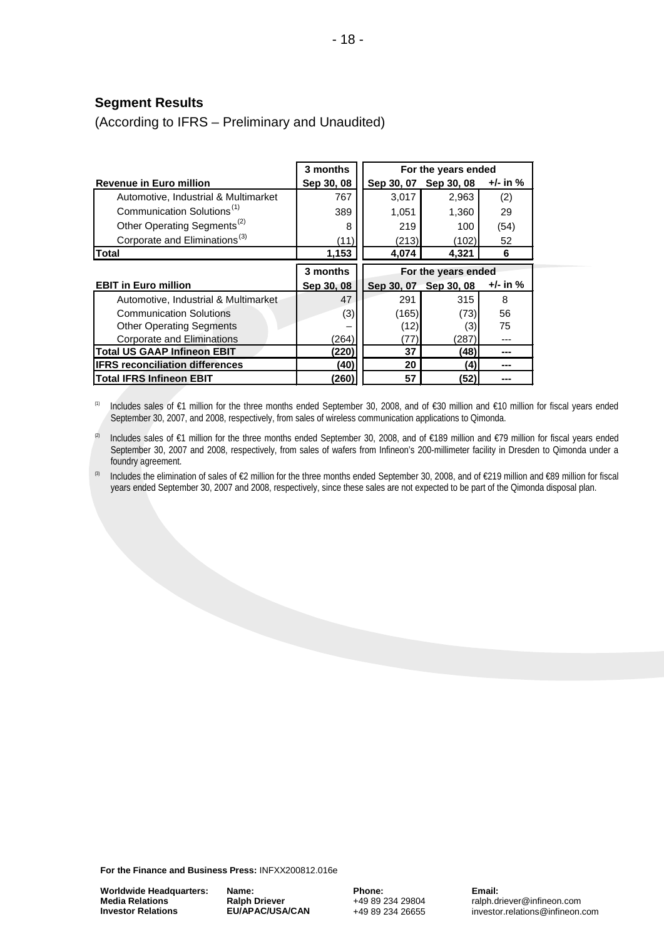# **Segment Results**

(According to IFRS – Preliminary and Unaudited)

|                                           | 3 months   | For the years ended |            |          |
|-------------------------------------------|------------|---------------------|------------|----------|
| <b>Revenue in Euro million</b>            | Sep 30, 08 | Sep 30, 07          | Sep 30, 08 | +/- in % |
| Automotive, Industrial & Multimarket      | 767        | 3,017               | 2,963      | (2)      |
| Communication Solutions <sup>(1)</sup>    | 389        | 1,051               | 1,360      | 29       |
| Other Operating Segments <sup>(2)</sup>   | 8          | 219                 | 100        | (54)     |
| Corporate and Eliminations <sup>(3)</sup> | (11)       | (213)               | (102)      | 52       |
| <b>Total</b>                              | 1,153      | 4,074               | 4,321      | 6        |
|                                           | 3 months   | For the years ended |            |          |
| <b>EBIT in Euro million</b>               | Sep 30, 08 | Sep 30, 07          | Sep 30, 08 | +/- in % |
| Automotive, Industrial & Multimarket      | 47         | 291                 | 315        | 8        |
| <b>Communication Solutions</b>            | (3)        | (165)               | (73)       | 56       |
| <b>Other Operating Segments</b>           |            | (12)                | (3)        | 75       |
|                                           |            |                     |            |          |
| <b>Corporate and Eliminations</b>         | (264)      | (77)                | (287)      | ---      |
| <b>Total US GAAP Infineon EBIT</b>        | (220)      | 37                  | (48)       |          |
| <b>IFRS reconciliation differences</b>    | (40)       | 20                  | (4)        | ---      |

(1) Includes sales of €1 million for the three months ended September 30, 2008, and of €30 million and €10 million for fiscal years ended September 30, 2007, and 2008, respectively, from sales of wireless communication applications to Qimonda.

- <sup>(2)</sup> Includes sales of €1 million for the three months ended September 30, 2008, and of €189 million and €79 million for fiscal years ended September 30, 2007 and 2008, respectively, from sales of wafers from Infineon's 200-millimeter facility in Dresden to Qimonda under a foundry agreement.
- (3) Includes the elimination of sales of €2 million for the three months ended September 30, 2008, and of €219 million and €89 million for fiscal years ended September 30, 2007 and 2008, respectively, since these sales are not expected to be part of the Qimonda disposal plan.

**For the Finance and Business Press:** INFXX200812.016e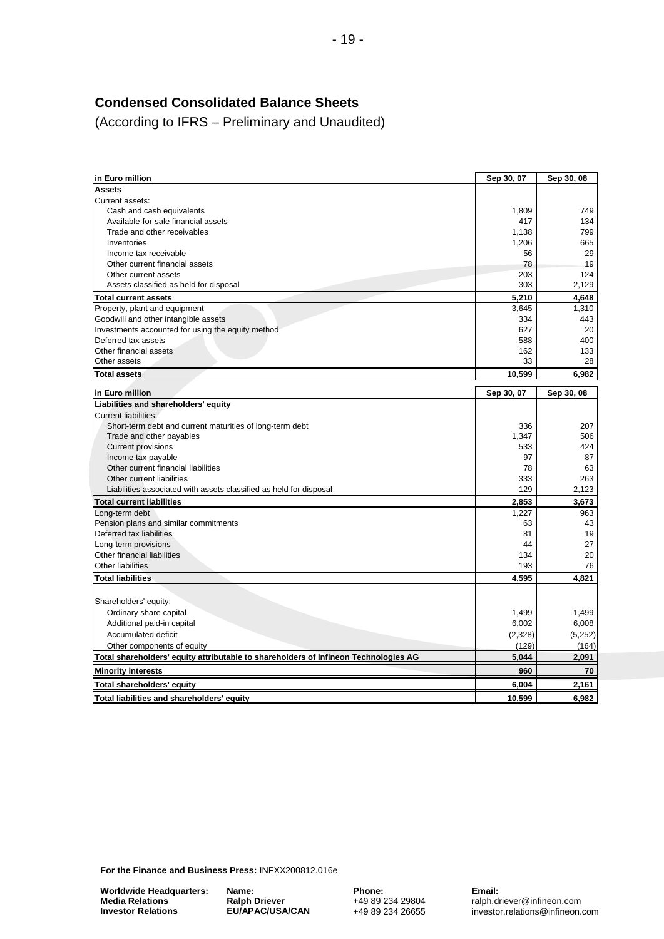# **Condensed Consolidated Balance Sheets**

(According to IFRS – Preliminary and Unaudited)

| in Euro million                                                                     | Sep 30, 07 | Sep 30, 08 |
|-------------------------------------------------------------------------------------|------------|------------|
| <b>Assets</b>                                                                       |            |            |
| Current assets:                                                                     |            |            |
| Cash and cash equivalents                                                           | 1,809      | 749        |
| Available-for-sale financial assets                                                 | 417        | 134        |
| Trade and other receivables                                                         | 1,138      | 799        |
| Inventories                                                                         | 1,206      | 665        |
| Income tax receivable                                                               | 56         | 29         |
| Other current financial assets                                                      | 78         | 19         |
| Other current assets                                                                | 203        | 124        |
| Assets classified as held for disposal                                              | 303        | 2,129      |
| <b>Total current assets</b>                                                         | 5,210      | 4,648      |
| Property, plant and equipment                                                       | 3.645      | 1.310      |
| Goodwill and other intangible assets                                                | 334        | 443        |
| Investments accounted for using the equity method                                   | 627        | 20         |
| Deferred tax assets                                                                 | 588        | 400        |
| Other financial assets                                                              | 162        | 133        |
| Other assets                                                                        | 33         | 28         |
| <b>Total assets</b>                                                                 | 10,599     | 6,982      |
| in Euro million                                                                     | Sep 30, 07 | Sep 30, 08 |
| Liabilities and shareholders' equity                                                |            |            |
| <b>Current liabilities:</b>                                                         |            |            |
| Short-term debt and current maturities of long-term debt                            | 336        | 207        |
| Trade and other payables                                                            | 1,347      | 506        |
| <b>Current provisions</b>                                                           | 533        | 424        |
| Income tax payable                                                                  | 97         | 87         |
| Other current financial liabilities                                                 | 78         | 63         |
| Other current liabilities                                                           | 333        | 263        |
| Liabilities associated with assets classified as held for disposal                  | 129        | 2,123      |
|                                                                                     |            |            |
| <b>Total current liabilities</b>                                                    | 2,853      | 3,673      |
| Long-term debt                                                                      | 1,227      | 963        |
| Pension plans and similar commitments                                               | 63         | 43         |
| Deferred tax liabilities                                                            | 81         | 19         |
| Long-term provisions                                                                | 44         | 27         |
| Other financial liabilities                                                         | 134        | 20         |
| <b>Other liabilities</b>                                                            | 193        | 76         |
| <b>Total liabilities</b>                                                            | 4,595      | 4,821      |
|                                                                                     |            |            |
| Shareholders' equity:                                                               |            |            |
| Ordinary share capital                                                              | 1,499      | 1,499      |
| Additional paid-in capital                                                          | 6,002      | 6,008      |
| Accumulated deficit                                                                 | (2, 328)   | (5,252)    |
| Other components of equity                                                          | (129)      | (164)      |
| Total shareholders' equity attributable to shareholders of Infineon Technologies AG | 5,044      | 2,091      |
| <b>Minority interests</b>                                                           | 960        | 70         |
| Total shareholders' equity                                                          | 6,004      | 2,161      |
| Total liabilities and shareholders' equity                                          | 10,599     | 6,982      |

**For the Finance and Business Press:** INFXX200812.016e

**Worldwide Headquarters: Media Relations Investor Relations**

**Name: Ralph Driever EU/APAC/USA/CAN**

**Phone:** +49 89 234 29804 +49 89 234 26655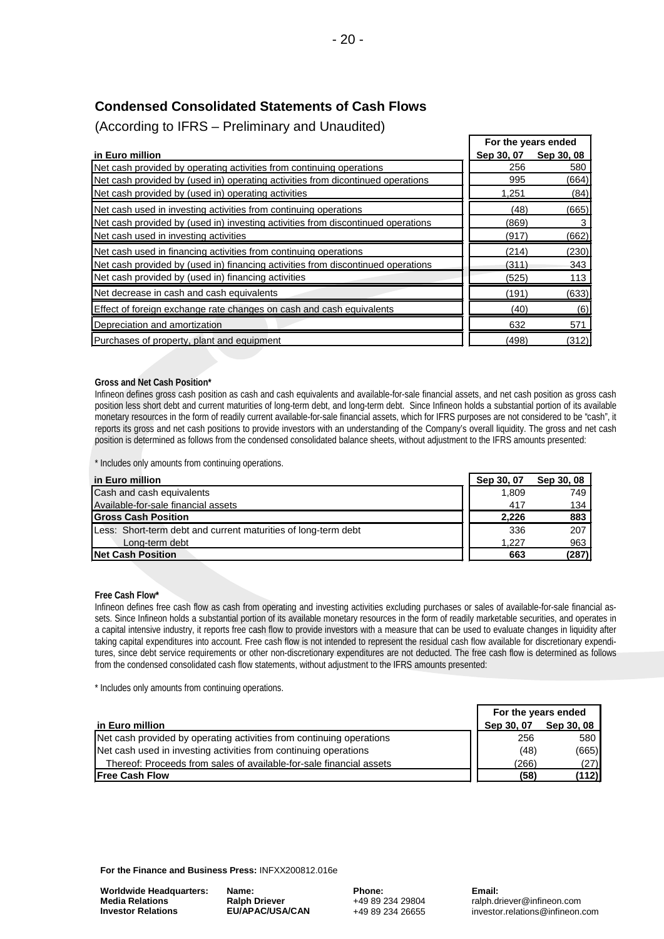# **Condensed Consolidated Statements of Cash Flows**

(According to IFRS – Preliminary and Unaudited)

|                                                                                  | For the years ended |            |
|----------------------------------------------------------------------------------|---------------------|------------|
| in Euro million                                                                  | Sep 30, 07          | Sep 30, 08 |
| Net cash provided by operating activities from continuing operations             | 256                 | 580        |
| Net cash provided by (used in) operating activities from dicontinued operations  | 995                 | (664)      |
| Net cash provided by (used in) operating activities                              | 1,251               | (84)       |
| Net cash used in investing activities from continuing operations                 | (48)                | (665)      |
| Net cash provided by (used in) investing activities from discontinued operations | (869)               | 3          |
| Net cash used in investing activities                                            | (917)               | (662)      |
| Net cash used in financing activities from continuing operations                 | (214)               | (230)      |
| Net cash provided by (used in) financing activities from discontinued operations | (311)               | 343        |
| Net cash provided by (used in) financing activities                              | (525)               | 113        |
| Net decrease in cash and cash equivalents                                        | (191)               | (633)      |
| Effect of foreign exchange rate changes on cash and cash equivalents             | (40)                | (6)        |
| Depreciation and amortization                                                    | 632                 | 571        |
| Purchases of property, plant and equipment                                       | (498)               | (312)      |

#### **Gross and Net Cash Position\***

Infineon defines gross cash position as cash and cash equivalents and available-for-sale financial assets, and net cash position as gross cash position less short debt and current maturities of long-term debt, and long-term debt. Since Infineon holds a substantial portion of its available monetary resources in the form of readily current available-for-sale financial assets, which for IFRS purposes are not considered to be "cash", it reports its gross and net cash positions to provide investors with an understanding of the Company's overall liquidity. The gross and net cash position is determined as follows from the condensed consolidated balance sheets, without adjustment to the IFRS amounts presented:

\* Includes only amounts from continuing operations.

| in Euro million                                                | Sep 30, 07 | Sep 30, 08 |
|----------------------------------------------------------------|------------|------------|
| Cash and cash equivalents                                      | 1.809      | 749        |
| Available-for-sale financial assets                            | 417        | 134        |
| <b>Gross Cash Position</b>                                     | 2.226      | 883        |
| Less: Short-term debt and current maturities of long-term debt | 336        | 207        |
| Long-term debt                                                 | 1.227      | 963        |
| <b>Net Cash Position</b>                                       | 663        | (287)      |

#### **Free Cash Flow\***

Infineon defines free cash flow as cash from operating and investing activities excluding purchases or sales of available-for-sale financial assets. Since Infineon holds a substantial portion of its available monetary resources in the form of readily marketable securities, and operates in a capital intensive industry, it reports free cash flow to provide investors with a measure that can be used to evaluate changes in liquidity after taking capital expenditures into account. Free cash flow is not intended to represent the residual cash flow available for discretionary expenditures, since debt service requirements or other non-discretionary expenditures are not deducted. The free cash flow is determined as follows from the condensed consolidated cash flow statements, without adjustment to the IFRS amounts presented:

\* Includes only amounts from continuing operations.

|                                                                      | For the years ended |            |
|----------------------------------------------------------------------|---------------------|------------|
| in Euro million                                                      | Sep 30, 07          | Sep 30, 08 |
| Net cash provided by operating activities from continuing operations | 256                 | 580        |
| Net cash used in investing activities from continuing operations     | (48)                | (665)      |
| Thereof: Proceeds from sales of available-for-sale financial assets  | (266)               | (27)       |
| <b>IFree Cash Flow</b>                                               | (58)                | (112)      |

**For the Finance and Business Press:** INFXX200812.016e

**Worldwide Headquarters: Media Relations Investor Relations**

**Name: Ralph Driever EU/APAC/USA/CAN** **Phone:** +49 89 234 29804 +49 89 234 26655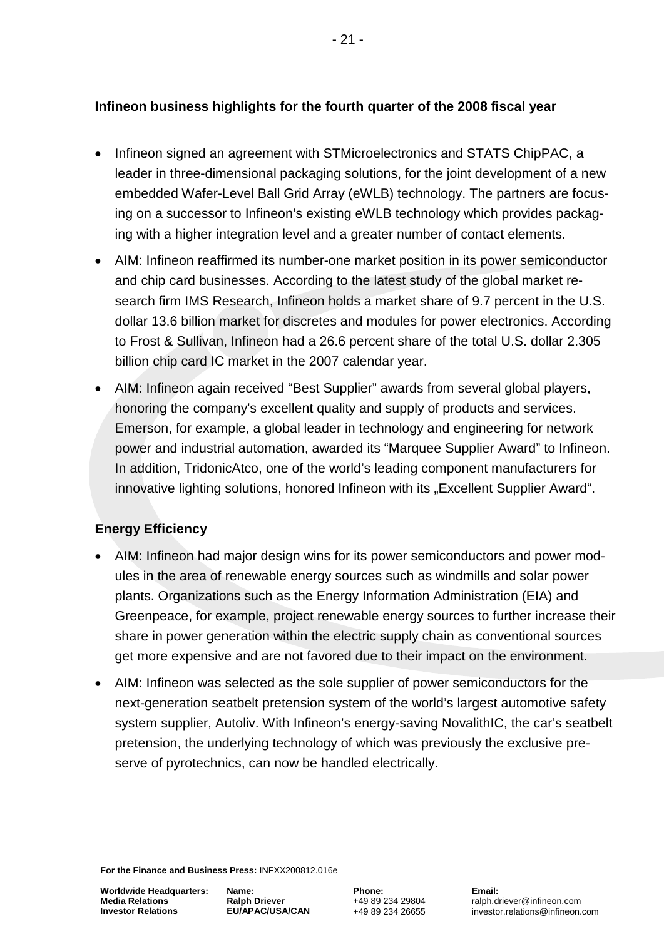# **Infineon business highlights for the fourth quarter of the 2008 fiscal year**

- Infineon signed an agreement with STMicroelectronics and STATS ChipPAC, a leader in three-dimensional packaging solutions, for the joint development of a new embedded Wafer-Level Ball Grid Array (eWLB) technology. The partners are focusing on a successor to Infineon's existing eWLB technology which provides packaging with a higher integration level and a greater number of contact elements.
- AIM: Infineon reaffirmed its number-one market position in its power semiconductor and chip card businesses. According to the latest study of the global market research firm IMS Research, Infineon holds a market share of 9.7 percent in the U.S. dollar 13.6 billion market for discretes and modules for power electronics. According to Frost & Sullivan, Infineon had a 26.6 percent share of the total U.S. dollar 2.305 billion chip card IC market in the 2007 calendar year.
- AIM: Infineon again received "Best Supplier" awards from several global players, honoring the company's excellent quality and supply of products and services. Emerson, for example, a global leader in technology and engineering for network power and industrial automation, awarded its "Marquee Supplier Award" to Infineon. In addition, TridonicAtco, one of the world's leading component manufacturers for innovative lighting solutions, honored Infineon with its "Excellent Supplier Award".

# **Energy Efficiency**

- AIM: Infineon had major design wins for its power semiconductors and power modules in the area of renewable energy sources such as windmills and solar power plants. Organizations such as the Energy Information Administration (EIA) and Greenpeace, for example, project renewable energy sources to further increase their share in power generation within the electric supply chain as conventional sources get more expensive and are not favored due to their impact on the environment.
- AIM: Infineon was selected as the sole supplier of power semiconductors for the next-generation seatbelt pretension system of the world's largest automotive safety system supplier, Autoliv. With Infineon's energy-saving NovalithIC, the car's seatbelt pretension, the underlying technology of which was previously the exclusive preserve of pyrotechnics, can now be handled electrically.

**For the Finance and Business Press:** INFXX200812.016e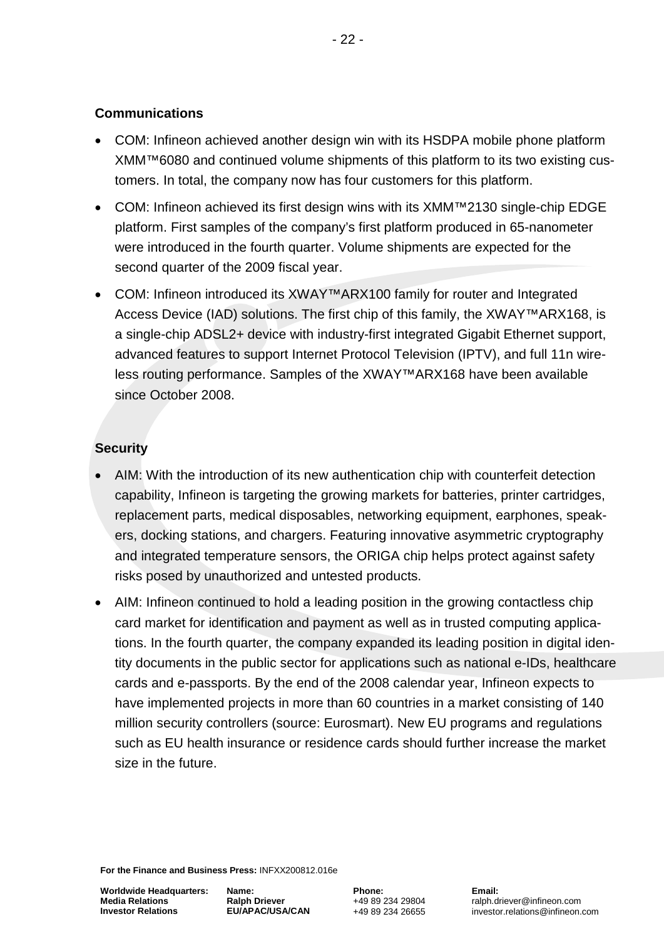#### **Communications**

- COM: Infineon achieved another design win with its HSDPA mobile phone platform XMM™6080 and continued volume shipments of this platform to its two existing customers. In total, the company now has four customers for this platform.
- COM: Infineon achieved its first design wins with its XMM™2130 single-chip EDGE platform. First samples of the company's first platform produced in 65-nanometer were introduced in the fourth quarter. Volume shipments are expected for the second quarter of the 2009 fiscal year.
- COM: Infineon introduced its XWAY™ARX100 family for router and Integrated Access Device (IAD) solutions. The first chip of this family, the XWAY™ARX168, is a single-chip ADSL2+ device with industry-first integrated Gigabit Ethernet support, advanced features to support Internet Protocol Television (IPTV), and full 11n wireless routing performance. Samples of the XWAY™ARX168 have been available since October 2008.

# **Security**

- AIM: With the introduction of its new authentication chip with counterfeit detection capability, Infineon is targeting the growing markets for batteries, printer cartridges, replacement parts, medical disposables, networking equipment, earphones, speakers, docking stations, and chargers. Featuring innovative asymmetric cryptography and integrated temperature sensors, the ORIGA chip helps protect against safety risks posed by unauthorized and untested products.
- AIM: Infineon continued to hold a leading position in the growing contactless chip card market for identification and payment as well as in trusted computing applications. In the fourth quarter, the company expanded its leading position in digital identity documents in the public sector for applications such as national e-IDs, healthcare cards and e-passports. By the end of the 2008 calendar year, Infineon expects to have implemented projects in more than 60 countries in a market consisting of 140 million security controllers (source: Eurosmart). New EU programs and regulations such as EU health insurance or residence cards should further increase the market size in the future.

**For the Finance and Business Press:** INFXX200812.016e